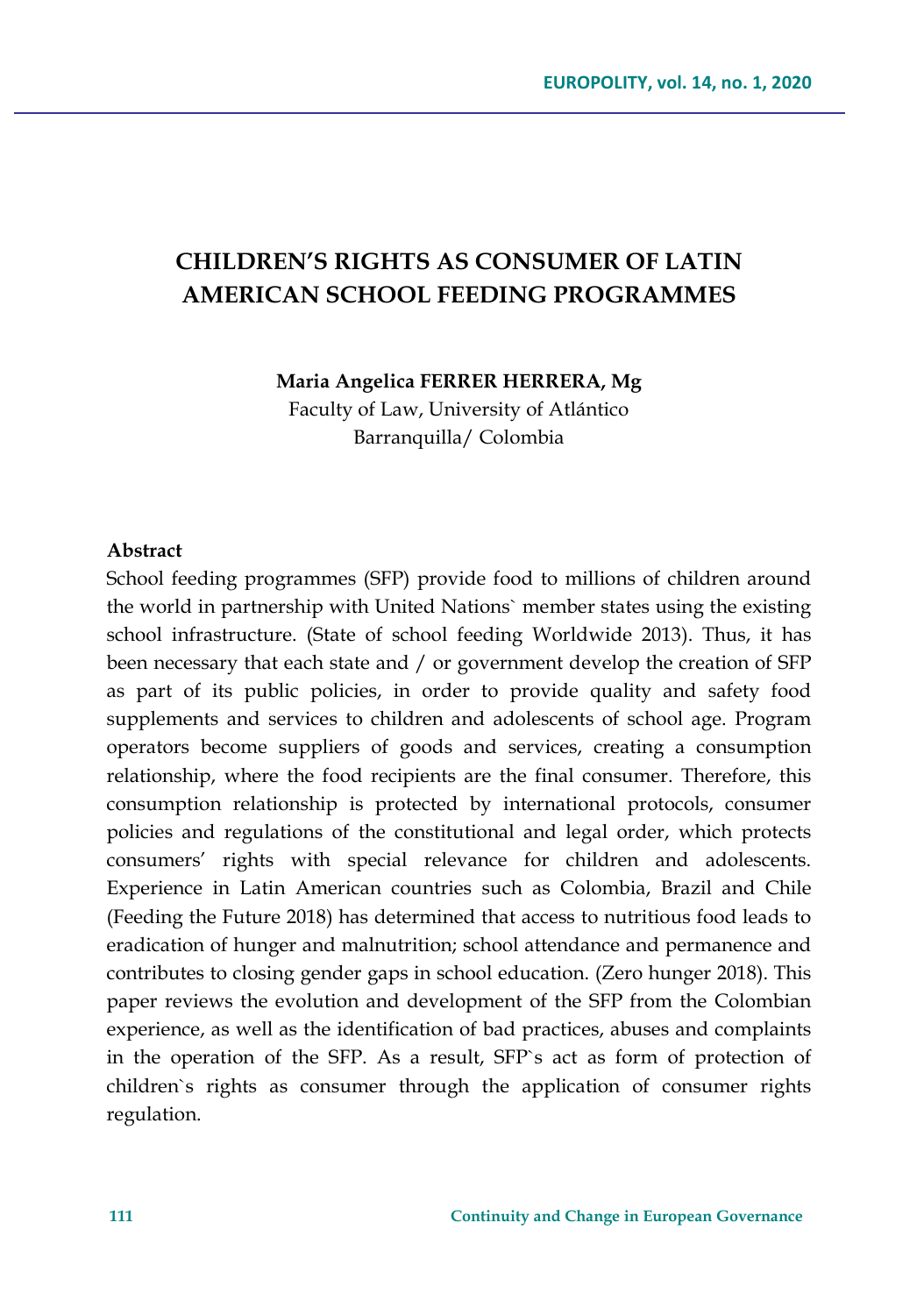# **CHILDREN'S RIGHTS AS CONSUMER OF LATIN AMERICAN SCHOOL FEEDING PROGRAMMES**

**Maria Angelica FERRER HERRERA, Mg**

Faculty of Law, University of Atlántico Barranquilla/ Colombia

#### **Abstract**

School feeding programmes (SFP) provide food to millions of children around the world in partnership with United Nations` member states using the existing school infrastructure. (State of school feeding Worldwide 2013). Thus, it has been necessary that each state and / or government develop the creation of SFP as part of its public policies, in order to provide quality and safety food supplements and services to children and adolescents of school age. Program operators become suppliers of goods and services, creating a consumption relationship, where the food recipients are the final consumer. Therefore, this consumption relationship is protected by international protocols, consumer policies and regulations of the constitutional and legal order, which protects consumers' rights with special relevance for children and adolescents. Experience in Latin American countries such as Colombia, Brazil and Chile (Feeding the Future 2018) has determined that access to nutritious food leads to eradication of hunger and malnutrition; school attendance and permanence and contributes to closing gender gaps in school education. (Zero hunger 2018). This paper reviews the evolution and development of the SFP from the Colombian experience, as well as the identification of bad practices, abuses and complaints in the operation of the SFP. As a result, SFP`s act as form of protection of children`s rights as consumer through the application of consumer rights regulation.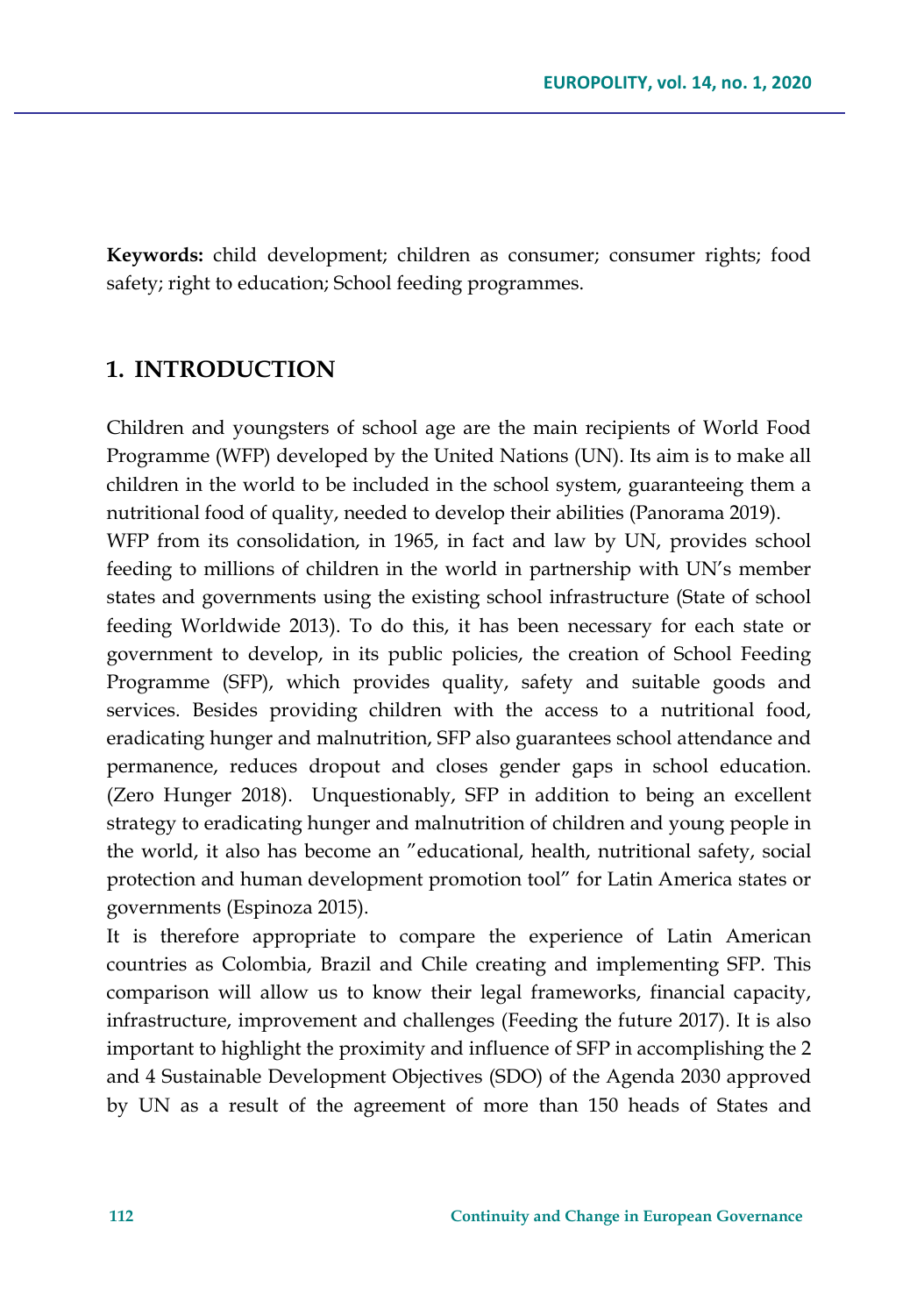**Keywords:** child development; children as consumer; consumer rights; food safety; right to education; School feeding programmes.

## **1. INTRODUCTION**

Children and youngsters of school age are the main recipients of World Food Programme (WFP) developed by the United Nations (UN). Its aim is to make all children in the world to be included in the school system, guaranteeing them a nutritional food of quality, needed to develop their abilities (Panorama 2019).

WFP from its consolidation, in 1965, in fact and law by UN, provides school feeding to millions of children in the world in partnership with UN's member states and governments using the existing school infrastructure (State of school feeding Worldwide 2013). To do this, it has been necessary for each state or government to develop, in its public policies, the creation of School Feeding Programme (SFP), which provides quality, safety and suitable goods and services. Besides providing children with the access to a nutritional food, eradicating hunger and malnutrition, SFP also guarantees school attendance and permanence, reduces dropout and closes gender gaps in school education. (Zero Hunger 2018). Unquestionably, SFP in addition to being an excellent strategy to eradicating hunger and malnutrition of children and young people in the world, it also has become an "educational, health, nutritional safety, social protection and human development promotion tool" for Latin America states or governments (Espinoza 2015).

It is therefore appropriate to compare the experience of Latin American countries as Colombia, Brazil and Chile creating and implementing SFP. This comparison will allow us to know their legal frameworks, financial capacity, infrastructure, improvement and challenges (Feeding the future 2017). It is also important to highlight the proximity and influence of SFP in accomplishing the 2 and 4 Sustainable Development Objectives (SDO) of the Agenda 2030 approved by UN as a result of the agreement of more than 150 heads of States and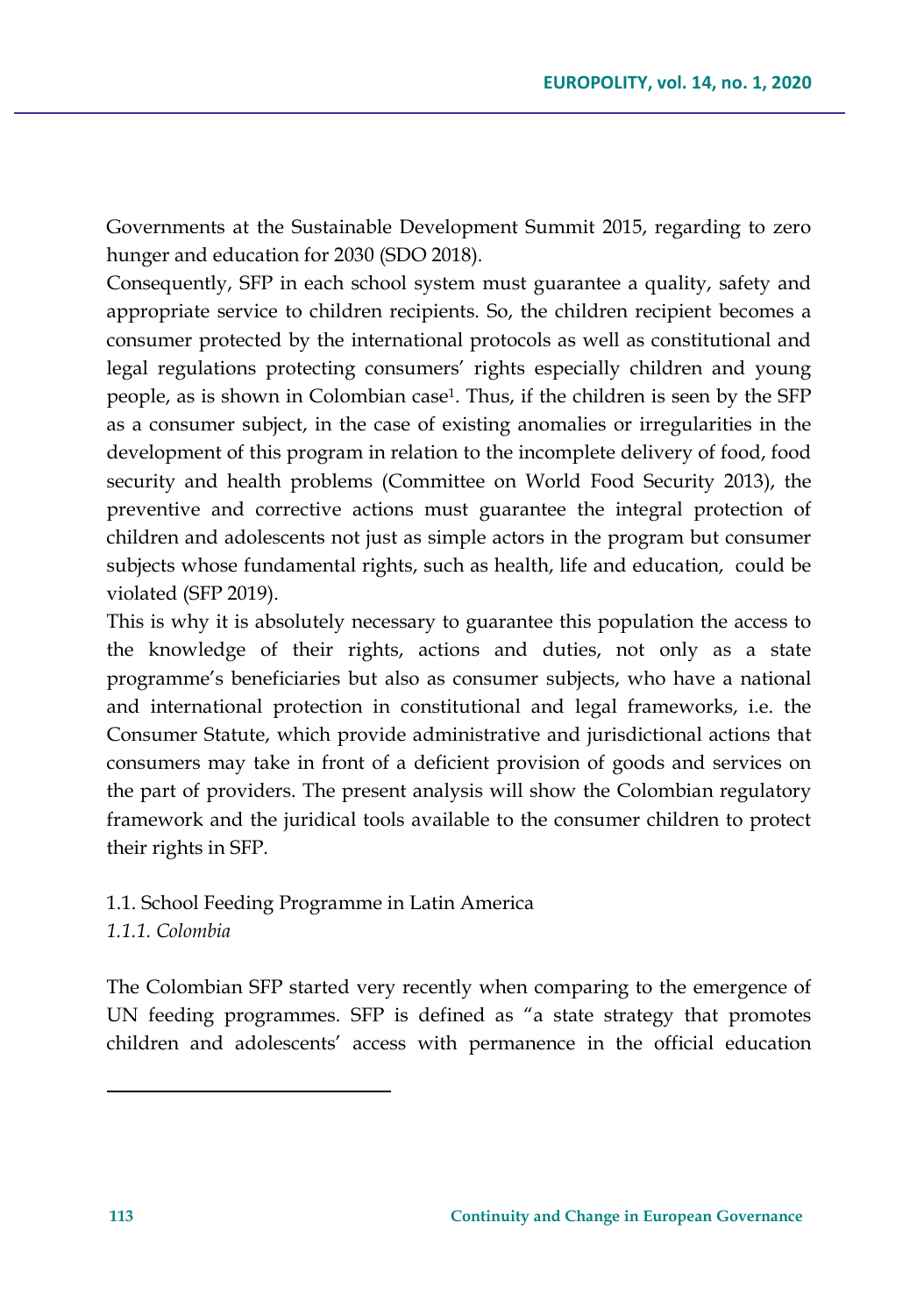Governments at the Sustainable Development Summit 2015, regarding to zero hunger and education for 2030 (SDO 2018).

Consequently, SFP in each school system must guarantee a quality, safety and appropriate service to children recipients. So, the children recipient becomes a consumer protected by the international protocols as well as constitutional and legal regulations protecting consumers' rights especially children and young people, as is shown in Colombian case1. Thus, if the children is seen by the SFP as a consumer subject, in the case of existing anomalies or irregularities in the development of this program in relation to the incomplete delivery of food, food security and health problems (Committee on World Food Security 2013), the preventive and corrective actions must guarantee the integral protection of children and adolescents not just as simple actors in the program but consumer subjects whose fundamental rights, such as health, life and education, could be violated (SFP 2019).

This is why it is absolutely necessary to guarantee this population the access to the knowledge of their rights, actions and duties, not only as a state programme's beneficiaries but also as consumer subjects, who have a national and international protection in constitutional and legal frameworks, i.e. the Consumer Statute, which provide administrative and jurisdictional actions that consumers may take in front of a deficient provision of goods and services on the part of providers. The present analysis will show the Colombian regulatory framework and the juridical tools available to the consumer children to protect their rights in SFP.

## 1.1. School Feeding Programme in Latin America *1.1.1. Colombia*

The Colombian SFP started very recently when comparing to the emergence of UN feeding programmes. SFP is defined as "a state strategy that promotes children and adolescents' access with permanence in the official education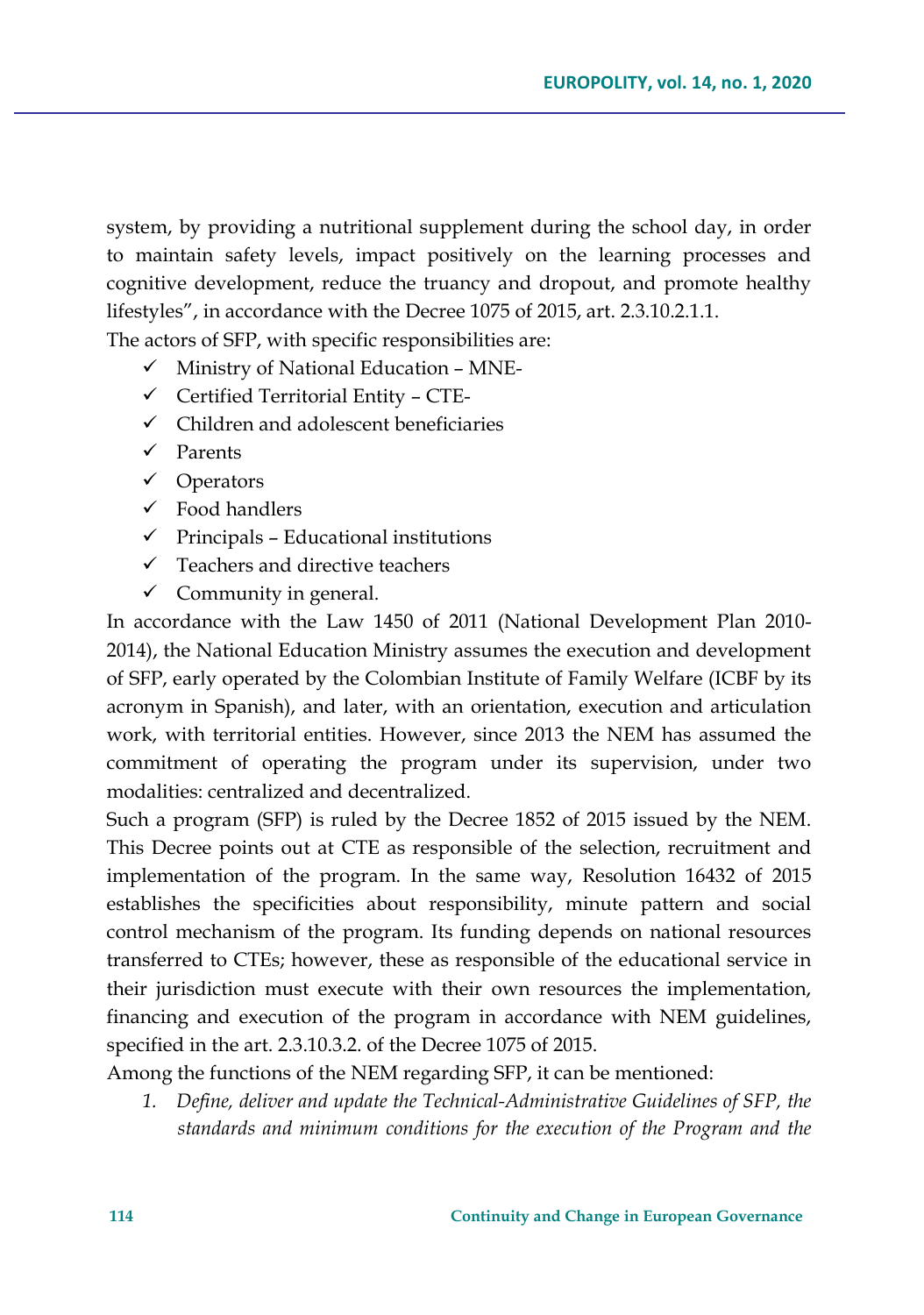system, by providing a nutritional supplement during the school day, in order to maintain safety levels, impact positively on the learning processes and cognitive development, reduce the truancy and dropout, and promote healthy lifestyles", in accordance with the Decree 1075 of 2015, art. 2.3.10.2.1.1.

- The actors of SFP, with specific responsibilities are:
	- $\checkmark$  Ministry of National Education MNE-
	- $\checkmark$  Certified Territorial Entity CTE-
	- $\checkmark$  Children and adolescent beneficiaries
	- Parents
	- $\checkmark$  Operators
	- $\checkmark$  Food handlers
	- $\checkmark$  Principals Educational institutions
	- $\checkmark$  Teachers and directive teachers
	- $\checkmark$  Community in general.

In accordance with the Law 1450 of 2011 (National Development Plan 2010- 2014), the National Education Ministry assumes the execution and development of SFP, early operated by the Colombian Institute of Family Welfare (ICBF by its acronym in Spanish), and later, with an orientation, execution and articulation work, with territorial entities. However, since 2013 the NEM has assumed the commitment of operating the program under its supervision, under two modalities: centralized and decentralized.

Such a program (SFP) is ruled by the Decree 1852 of 2015 issued by the NEM. This Decree points out at CTE as responsible of the selection, recruitment and implementation of the program. In the same way, Resolution 16432 of 2015 establishes the specificities about responsibility, minute pattern and social control mechanism of the program. Its funding depends on national resources transferred to CTEs; however, these as responsible of the educational service in their jurisdiction must execute with their own resources the implementation, financing and execution of the program in accordance with NEM guidelines, specified in the art. 2.3.10.3.2. of the Decree 1075 of 2015.

Among the functions of the NEM regarding SFP, it can be mentioned:

*1. Define, deliver and update the Technical-Administrative Guidelines of SFP, the standards and minimum conditions for the execution of the Program and the*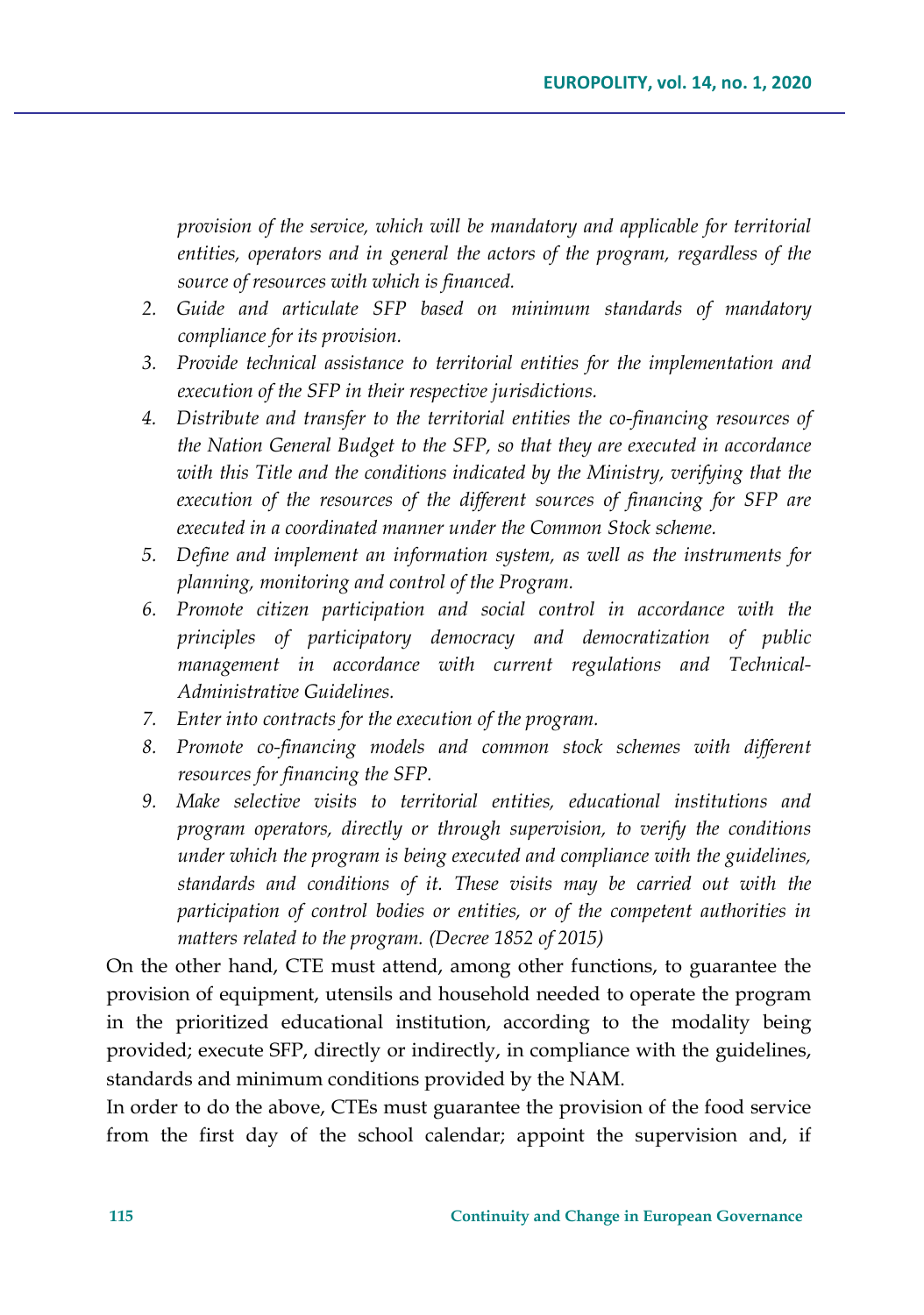*provision of the service, which will be mandatory and applicable for territorial entities, operators and in general the actors of the program, regardless of the source of resources with which is financed.*

- *2. Guide and articulate SFP based on minimum standards of mandatory compliance for its provision.*
- *3. Provide technical assistance to territorial entities for the implementation and execution of the SFP in their respective jurisdictions.*
- *4. Distribute and transfer to the territorial entities the co-financing resources of the Nation General Budget to the SFP, so that they are executed in accordance with this Title and the conditions indicated by the Ministry, verifying that the execution of the resources of the different sources of financing for SFP are executed in a coordinated manner under the Common Stock scheme.*
- *5. Define and implement an information system, as well as the instruments for planning, monitoring and control of the Program.*
- *6. Promote citizen participation and social control in accordance with the principles of participatory democracy and democratization of public management in accordance with current regulations and Technical-Administrative Guidelines.*
- *7. Enter into contracts for the execution of the program.*
- *8. Promote co-financing models and common stock schemes with different resources for financing the SFP.*
- *9. Make selective visits to territorial entities, educational institutions and program operators, directly or through supervision, to verify the conditions under which the program is being executed and compliance with the guidelines, standards and conditions of it. These visits may be carried out with the participation of control bodies or entities, or of the competent authorities in matters related to the program. (Decree 1852 of 2015)*

On the other hand, CTE must attend, among other functions, to guarantee the provision of equipment, utensils and household needed to operate the program in the prioritized educational institution, according to the modality being provided; execute SFP, directly or indirectly, in compliance with the guidelines, standards and minimum conditions provided by the NAM.

In order to do the above, CTEs must guarantee the provision of the food service from the first day of the school calendar; appoint the supervision and, if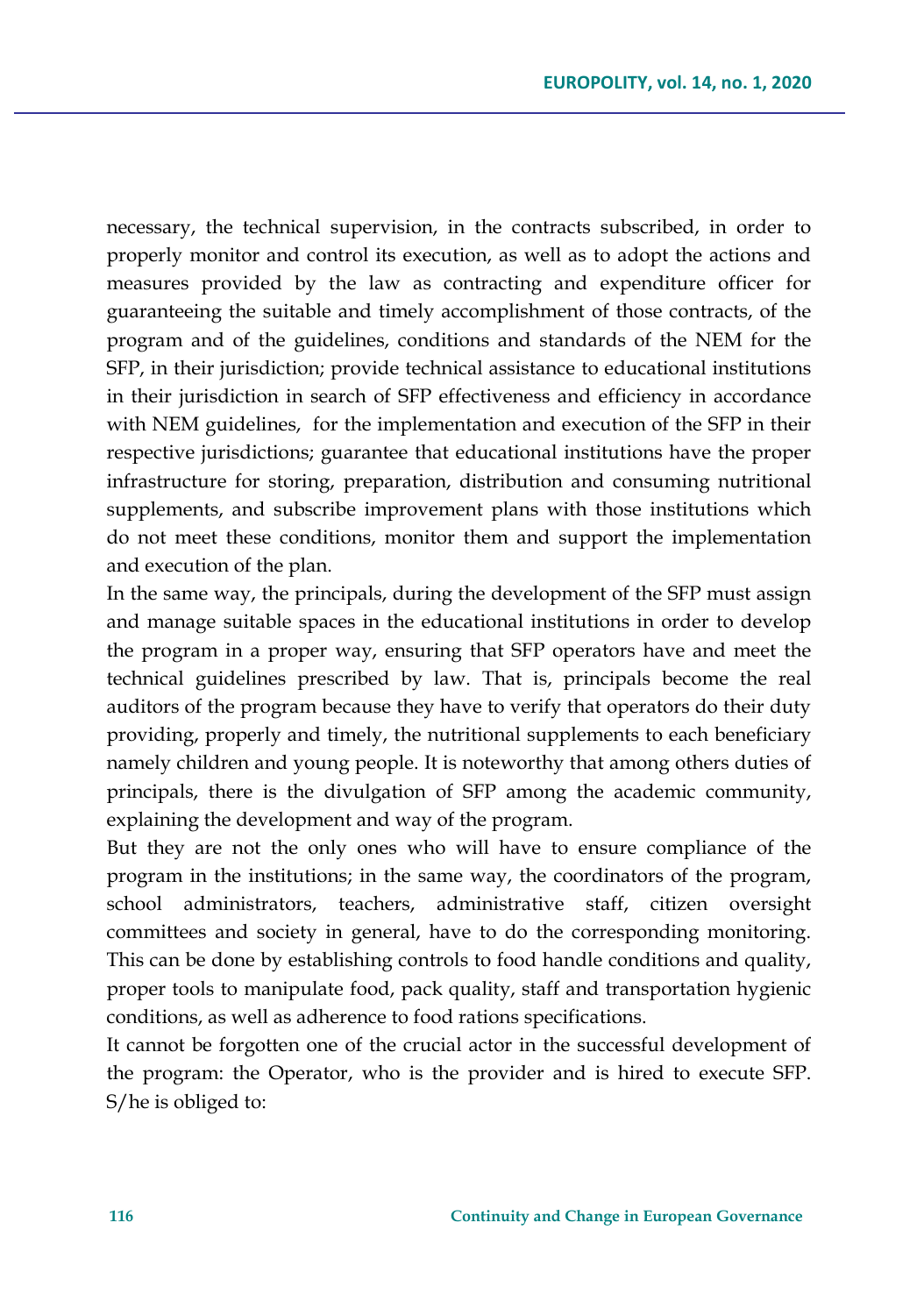necessary, the technical supervision, in the contracts subscribed, in order to properly monitor and control its execution, as well as to adopt the actions and measures provided by the law as contracting and expenditure officer for guaranteeing the suitable and timely accomplishment of those contracts, of the program and of the guidelines, conditions and standards of the NEM for the SFP, in their jurisdiction; provide technical assistance to educational institutions in their jurisdiction in search of SFP effectiveness and efficiency in accordance with NEM guidelines, for the implementation and execution of the SFP in their respective jurisdictions; guarantee that educational institutions have the proper infrastructure for storing, preparation, distribution and consuming nutritional supplements, and subscribe improvement plans with those institutions which do not meet these conditions, monitor them and support the implementation and execution of the plan.

In the same way, the principals, during the development of the SFP must assign and manage suitable spaces in the educational institutions in order to develop the program in a proper way, ensuring that SFP operators have and meet the technical guidelines prescribed by law. That is, principals become the real auditors of the program because they have to verify that operators do their duty providing, properly and timely, the nutritional supplements to each beneficiary namely children and young people. It is noteworthy that among others duties of principals, there is the divulgation of SFP among the academic community, explaining the development and way of the program.

But they are not the only ones who will have to ensure compliance of the program in the institutions; in the same way, the coordinators of the program, school administrators, teachers, administrative staff, citizen oversight committees and society in general, have to do the corresponding monitoring. This can be done by establishing controls to food handle conditions and quality, proper tools to manipulate food, pack quality, staff and transportation hygienic conditions, as well as adherence to food rations specifications.

It cannot be forgotten one of the crucial actor in the successful development of the program: the Operator, who is the provider and is hired to execute SFP. S/he is obliged to: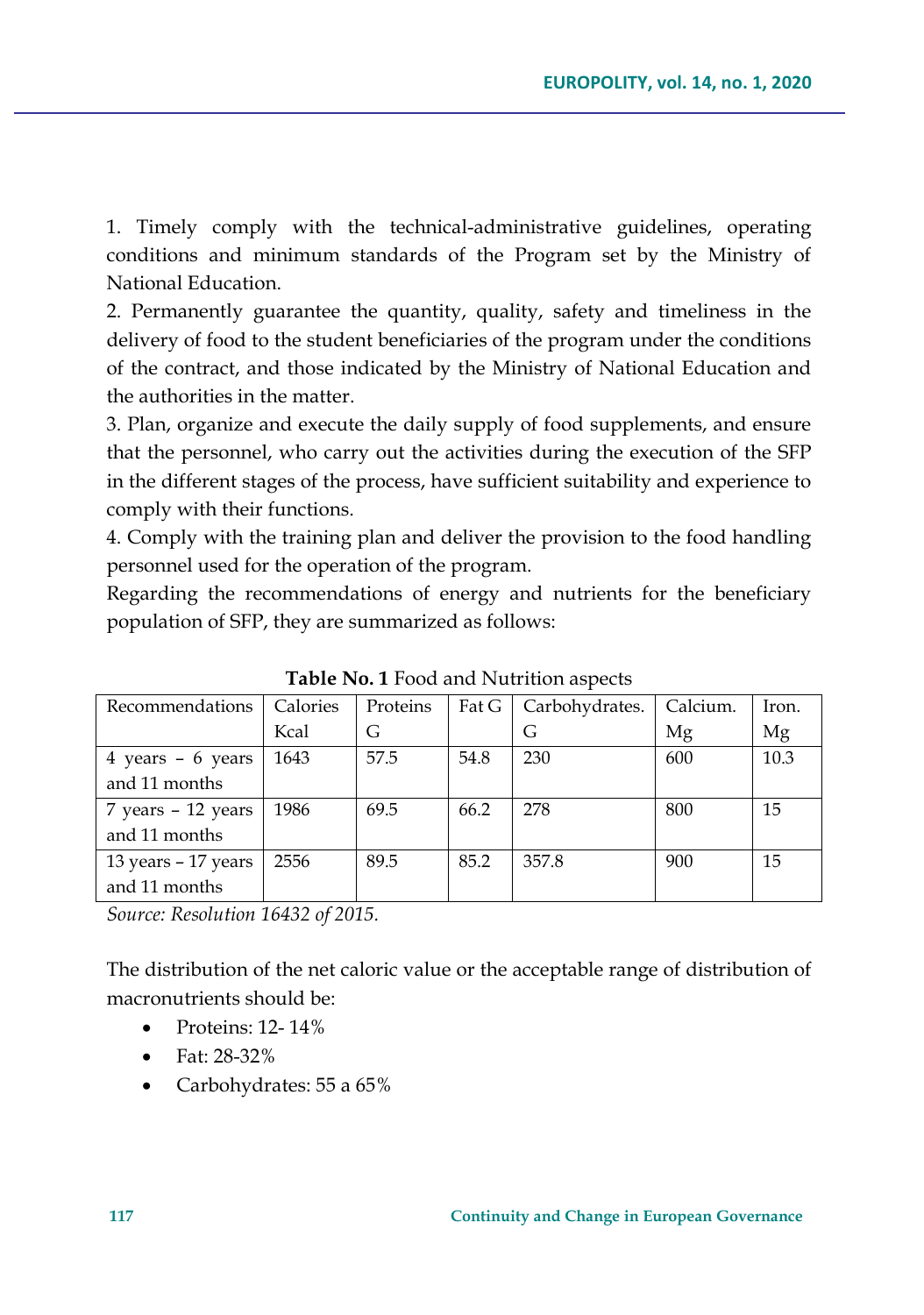1. Timely comply with the technical-administrative guidelines, operating conditions and minimum standards of the Program set by the Ministry of National Education.

2. Permanently guarantee the quantity, quality, safety and timeliness in the delivery of food to the student beneficiaries of the program under the conditions of the contract, and those indicated by the Ministry of National Education and the authorities in the matter.

3. Plan, organize and execute the daily supply of food supplements, and ensure that the personnel, who carry out the activities during the execution of the SFP in the different stages of the process, have sufficient suitability and experience to comply with their functions.

4. Comply with the training plan and deliver the provision to the food handling personnel used for the operation of the program.

Regarding the recommendations of energy and nutrients for the beneficiary population of SFP, they are summarized as follows:

| Recommendations                     | Calories | Proteins | Fat G | Carbohydrates. | Calcium. | Iron. |
|-------------------------------------|----------|----------|-------|----------------|----------|-------|
|                                     | Kcal     | G        |       | G              | Mg       | Mg    |
| $4 \text{ years} - 6 \text{ years}$ | 1643     | 57.5     | 54.8  | 230            | 600      | 10.3  |
| and 11 months                       |          |          |       |                |          |       |
| 7 years - 12 years                  | 1986     | 69.5     | 66.2  | 278            | 800      | 15    |
| and 11 months                       |          |          |       |                |          |       |
| 13 years - 17 years                 | 2556     | 89.5     | 85.2  | 357.8          | 900      | 15    |
| and 11 months                       |          |          |       |                |          |       |
|                                     |          |          |       |                |          |       |

**Table No. 1** Food and Nutrition aspects

*Source: Resolution 16432 of 2015.*

The distribution of the net caloric value or the acceptable range of distribution of macronutrients should be:

- Proteins: 12- 14%
- Fat: 28-32%
- Carbohydrates: 55 a 65%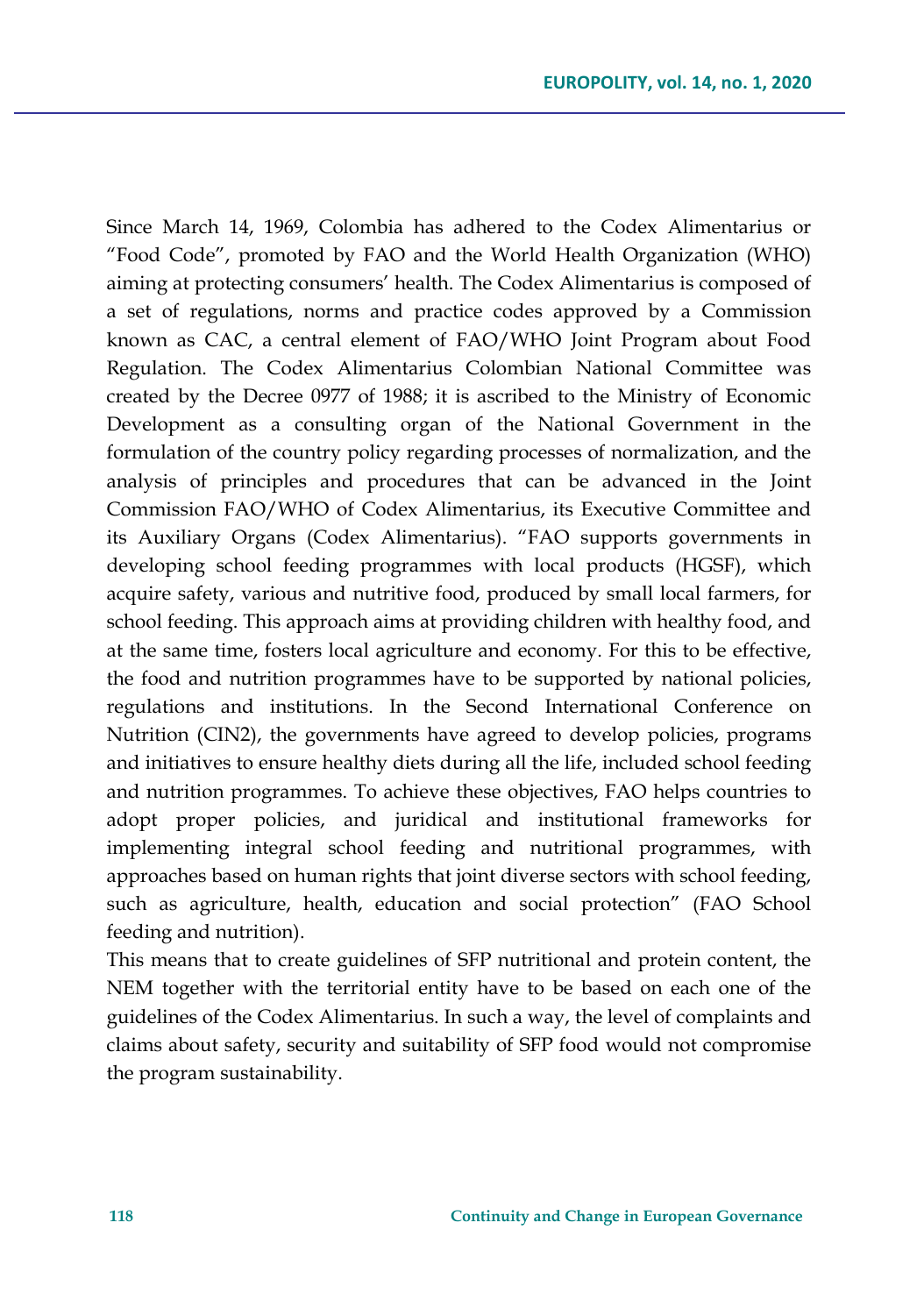Since March 14, 1969, Colombia has adhered to the Codex Alimentarius or "Food Code", promoted by FAO and the World Health Organization (WHO) aiming at protecting consumers' health. The Codex Alimentarius is composed of a set of regulations, norms and practice codes approved by a Commission known as CAC, a central element of FAO/WHO Joint Program about Food Regulation. The Codex Alimentarius Colombian National Committee was created by the Decree 0977 of 1988; it is ascribed to the Ministry of Economic Development as a consulting organ of the National Government in the formulation of the country policy regarding processes of normalization, and the analysis of principles and procedures that can be advanced in the Joint Commission FAO/WHO of Codex Alimentarius, its Executive Committee and its Auxiliary Organs (Codex Alimentarius). "FAO supports governments in developing school feeding programmes with local products (HGSF), which acquire safety, various and nutritive food, produced by small local farmers, for school feeding. This approach aims at providing children with healthy food, and at the same time, fosters local agriculture and economy. For this to be effective, the food and nutrition programmes have to be supported by national policies, regulations and institutions. In the Second International Conference on Nutrition (CIN2), the governments have agreed to develop policies, programs and initiatives to ensure healthy diets during all the life, included school feeding and nutrition programmes. To achieve these objectives, FAO helps countries to adopt proper policies, and juridical and institutional frameworks for implementing integral school feeding and nutritional programmes, with approaches based on human rights that joint diverse sectors with school feeding, such as agriculture, health, education and social protection" (FAO School feeding and nutrition).

This means that to create guidelines of SFP nutritional and protein content, the NEM together with the territorial entity have to be based on each one of the guidelines of the Codex Alimentarius. In such a way, the level of complaints and claims about safety, security and suitability of SFP food would not compromise the program sustainability.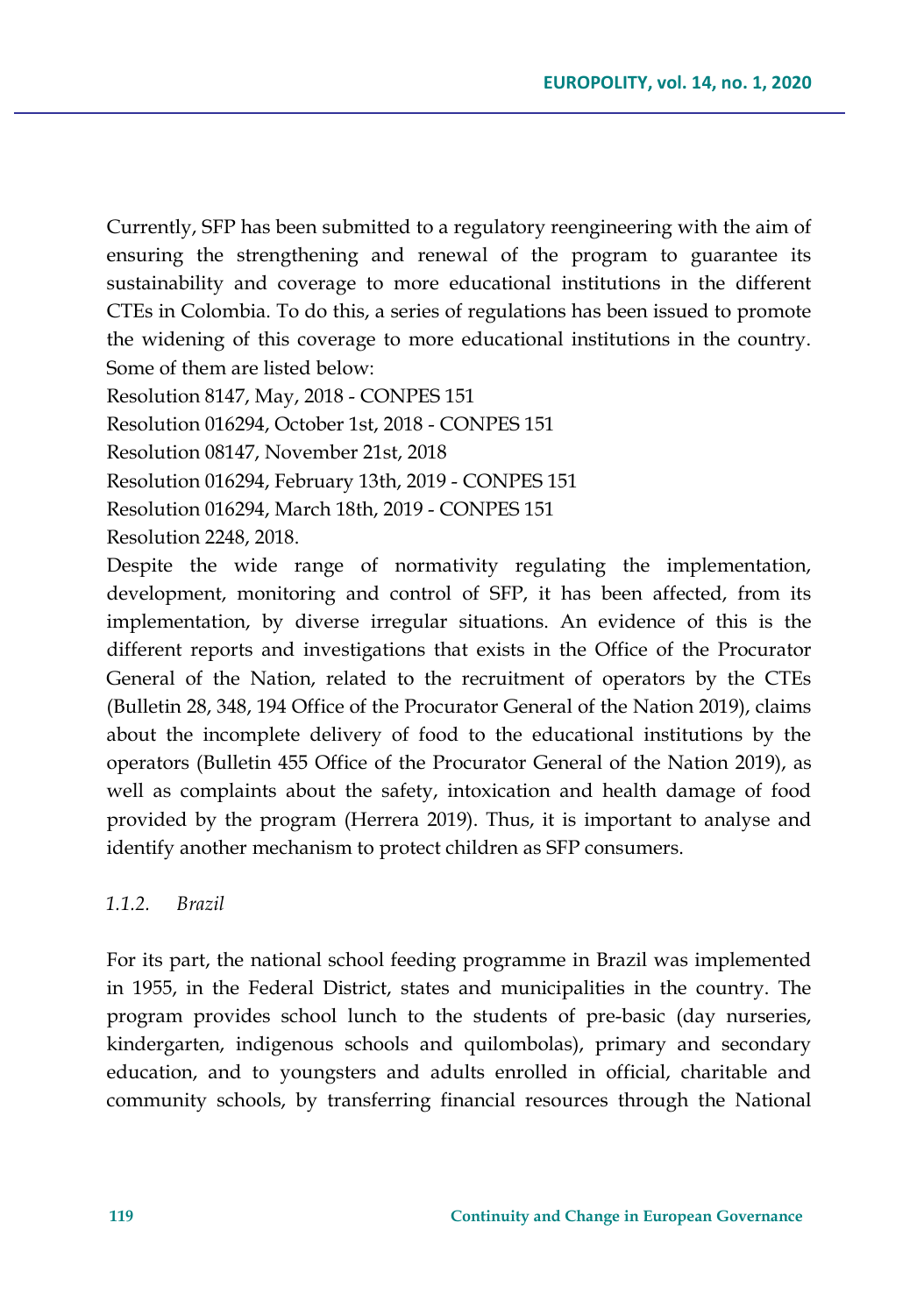Currently, SFP has been submitted to a regulatory reengineering with the aim of ensuring the strengthening and renewal of the program to guarantee its sustainability and coverage to more educational institutions in the different CTEs in Colombia. To do this, a series of regulations has been issued to promote the widening of this coverage to more educational institutions in the country. Some of them are listed below:

Resolution 8147, May, 2018 - CONPES 151

Resolution 016294, October 1st, 2018 - CONPES 151

Resolution 08147, November 21st, 2018

Resolution 016294, February 13th, 2019 - CONPES 151

Resolution 016294, March 18th, 2019 - CONPES 151

Resolution 2248, 2018.

Despite the wide range of normativity regulating the implementation, development, monitoring and control of SFP, it has been affected, from its implementation, by diverse irregular situations. An evidence of this is the different reports and investigations that exists in the Office of the Procurator General of the Nation, related to the recruitment of operators by the CTEs (Bulletin 28, 348, 194 Office of the Procurator General of the Nation 2019), claims about the incomplete delivery of food to the educational institutions by the operators (Bulletin 455 Office of the Procurator General of the Nation 2019), as well as complaints about the safety, intoxication and health damage of food provided by the program (Herrera 2019). Thus, it is important to analyse and identify another mechanism to protect children as SFP consumers.

#### *1.1.2. Brazil*

For its part, the national school feeding programme in Brazil was implemented in 1955, in the Federal District, states and municipalities in the country. The program provides school lunch to the students of pre-basic (day nurseries, kindergarten, indigenous schools and quilombolas), primary and secondary education, and to youngsters and adults enrolled in official, charitable and community schools, by transferring financial resources through the National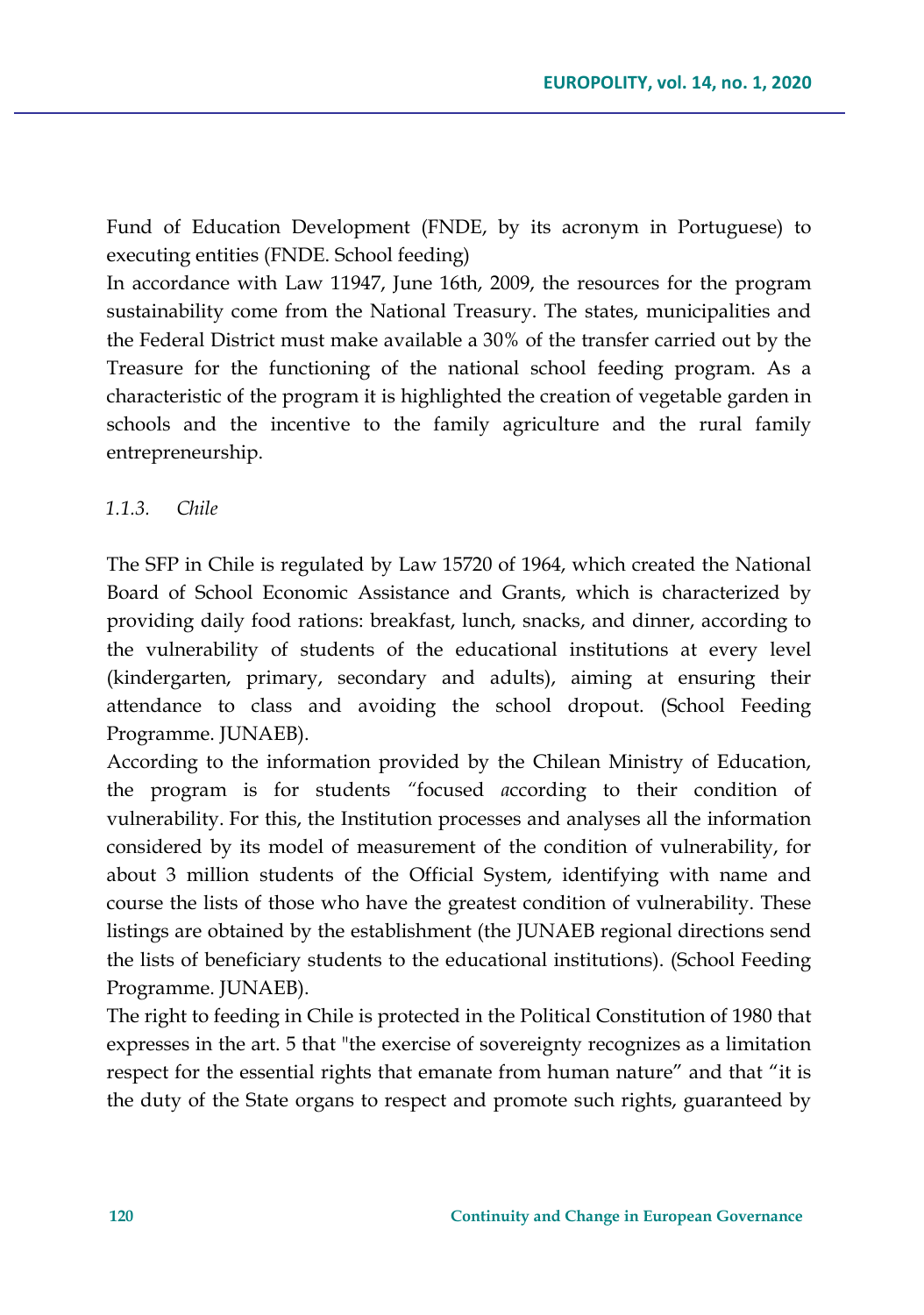Fund of Education Development (FNDE, by its acronym in Portuguese) to executing entities (FNDE. School feeding)

In accordance with Law 11947, June 16th, 2009, the resources for the program sustainability come from the National Treasury. The states, municipalities and the Federal District must make available a 30% of the transfer carried out by the Treasure for the functioning of the national school feeding program. As a characteristic of the program it is highlighted the creation of vegetable garden in schools and the incentive to the family agriculture and the rural family entrepreneurship.

## *1.1.3. Chile*

The SFP in Chile is regulated by Law 15720 of 1964, which created the National Board of School Economic Assistance and Grants, which is characterized by providing daily food rations: breakfast, lunch, snacks, and dinner, according to the vulnerability of students of the educational institutions at every level (kindergarten, primary, secondary and adults), aiming at ensuring their attendance to class and avoiding the school dropout. (School Feeding Programme. JUNAEB).

According to the information provided by the Chilean Ministry of Education, the program is for students *"*focused *a*ccording to their condition of vulnerability. For this, the Institution processes and analyses all the information considered by its model of measurement of the condition of vulnerability, for about 3 million students of the Official System, identifying with name and course the lists of those who have the greatest condition of vulnerability. These listings are obtained by the establishment (the JUNAEB regional directions send the lists of beneficiary students to the educational institutions). (School Feeding Programme. JUNAEB).

The right to feeding in Chile is protected in the Political Constitution of 1980 that expresses in the art. 5 that "the exercise of sovereignty recognizes as a limitation respect for the essential rights that emanate from human nature" and that "it is the duty of the State organs to respect and promote such rights, guaranteed by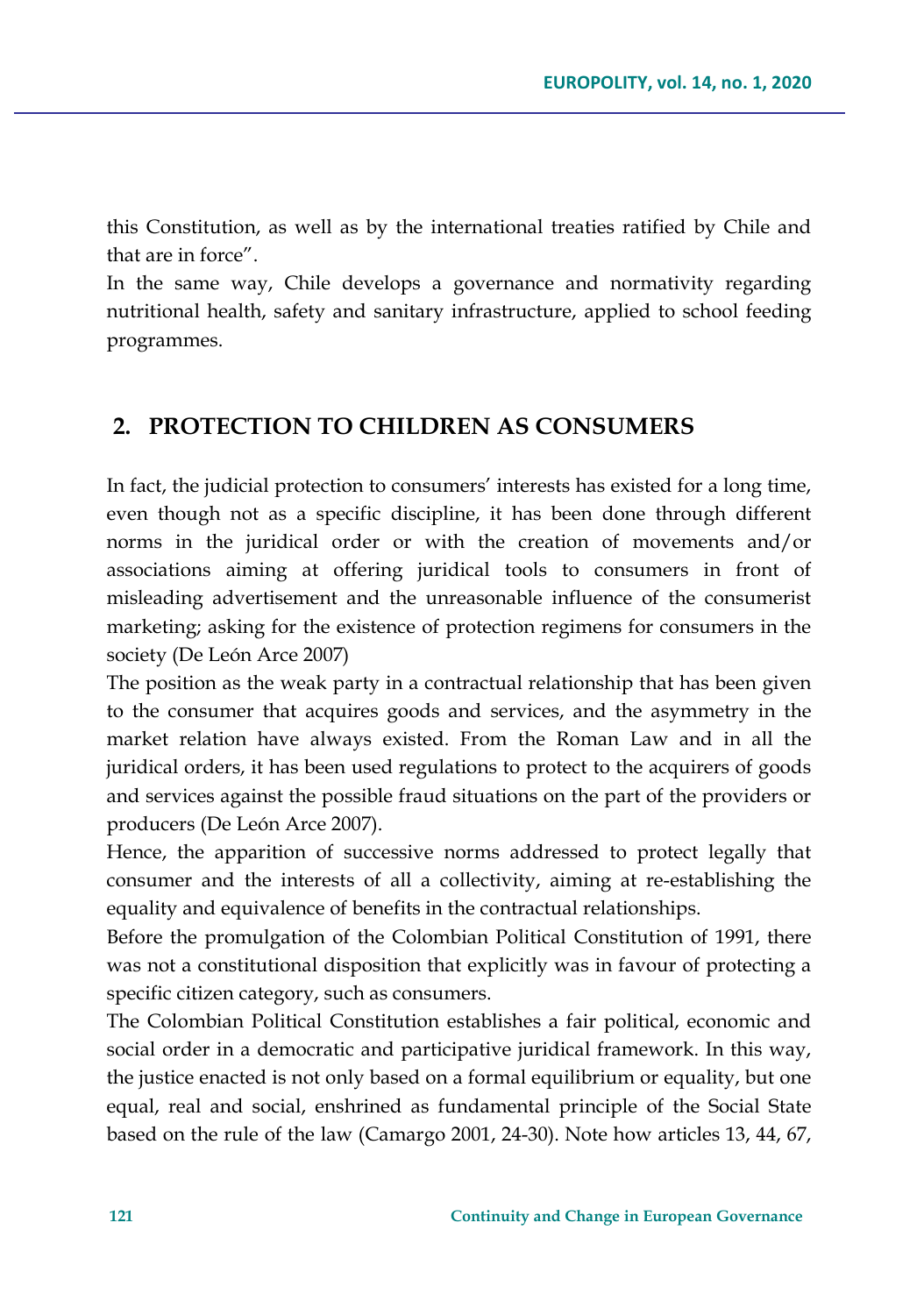this Constitution, as well as by the international treaties ratified by Chile and that are in force".

In the same way, Chile develops a governance and normativity regarding nutritional health, safety and sanitary infrastructure, applied to school feeding programmes.

## **2. PROTECTION TO CHILDREN AS CONSUMERS**

In fact, the judicial protection to consumers' interests has existed for a long time, even though not as a specific discipline, it has been done through different norms in the juridical order or with the creation of movements and/or associations aiming at offering juridical tools to consumers in front of misleading advertisement and the unreasonable influence of the consumerist marketing; asking for the existence of protection regimens for consumers in the society (De León Arce 2007)

The position as the weak party in a contractual relationship that has been given to the consumer that acquires goods and services, and the asymmetry in the market relation have always existed. From the Roman Law and in all the juridical orders, it has been used regulations to protect to the acquirers of goods and services against the possible fraud situations on the part of the providers or producers (De León Arce 2007).

Hence, the apparition of successive norms addressed to protect legally that consumer and the interests of all a collectivity, aiming at re-establishing the equality and equivalence of benefits in the contractual relationships.

Before the promulgation of the Colombian Political Constitution of 1991, there was not a constitutional disposition that explicitly was in favour of protecting a specific citizen category, such as consumers.

The Colombian Political Constitution establishes a fair political, economic and social order in a democratic and participative juridical framework. In this way, the justice enacted is not only based on a formal equilibrium or equality, but one equal, real and social, enshrined as fundamental principle of the Social State based on the rule of the law (Camargo 2001, 24-30). Note how articles 13, 44, 67,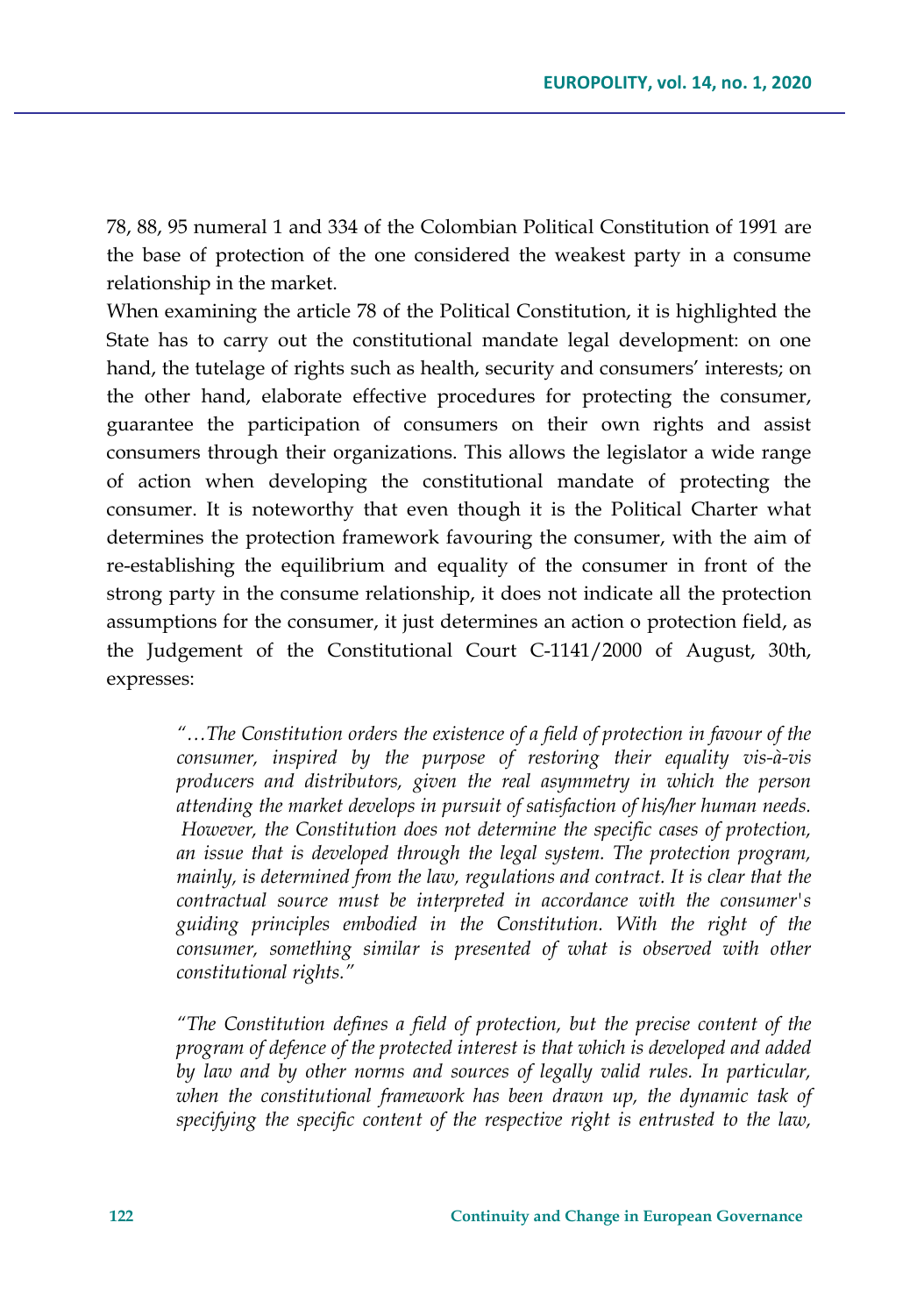78, 88, 95 numeral 1 and 334 of the Colombian Political Constitution of 1991 are the base of protection of the one considered the weakest party in a consume relationship in the market.

When examining the article 78 of the Political Constitution, it is highlighted the State has to carry out the constitutional mandate legal development: on one hand, the tutelage of rights such as health, security and consumers' interests; on the other hand, elaborate effective procedures for protecting the consumer, guarantee the participation of consumers on their own rights and assist consumers through their organizations. This allows the legislator a wide range of action when developing the constitutional mandate of protecting the consumer. It is noteworthy that even though it is the Political Charter what determines the protection framework favouring the consumer, with the aim of re-establishing the equilibrium and equality of the consumer in front of the strong party in the consume relationship, it does not indicate all the protection assumptions for the consumer, it just determines an action o protection field, as the Judgement of the Constitutional Court C-1141/2000 of August, 30th, expresses:

*"…The Constitution orders the existence of a field of protection in favour of the consumer, inspired by the purpose of restoring their equality vis-à-vis producers and distributors, given the real asymmetry in which the person attending the market develops in pursuit of satisfaction of his/her human needs. However, the Constitution does not determine the specific cases of protection, an issue that is developed through the legal system. The protection program, mainly, is determined from the law, regulations and contract. It is clear that the contractual source must be interpreted in accordance with the consumer's guiding principles embodied in the Constitution. With the right of the consumer, something similar is presented of what is observed with other constitutional rights."*

*"The Constitution defines a field of protection, but the precise content of the program of defence of the protected interest is that which is developed and added by law and by other norms and sources of legally valid rules. In particular, when the constitutional framework has been drawn up, the dynamic task of specifying the specific content of the respective right is entrusted to the law,*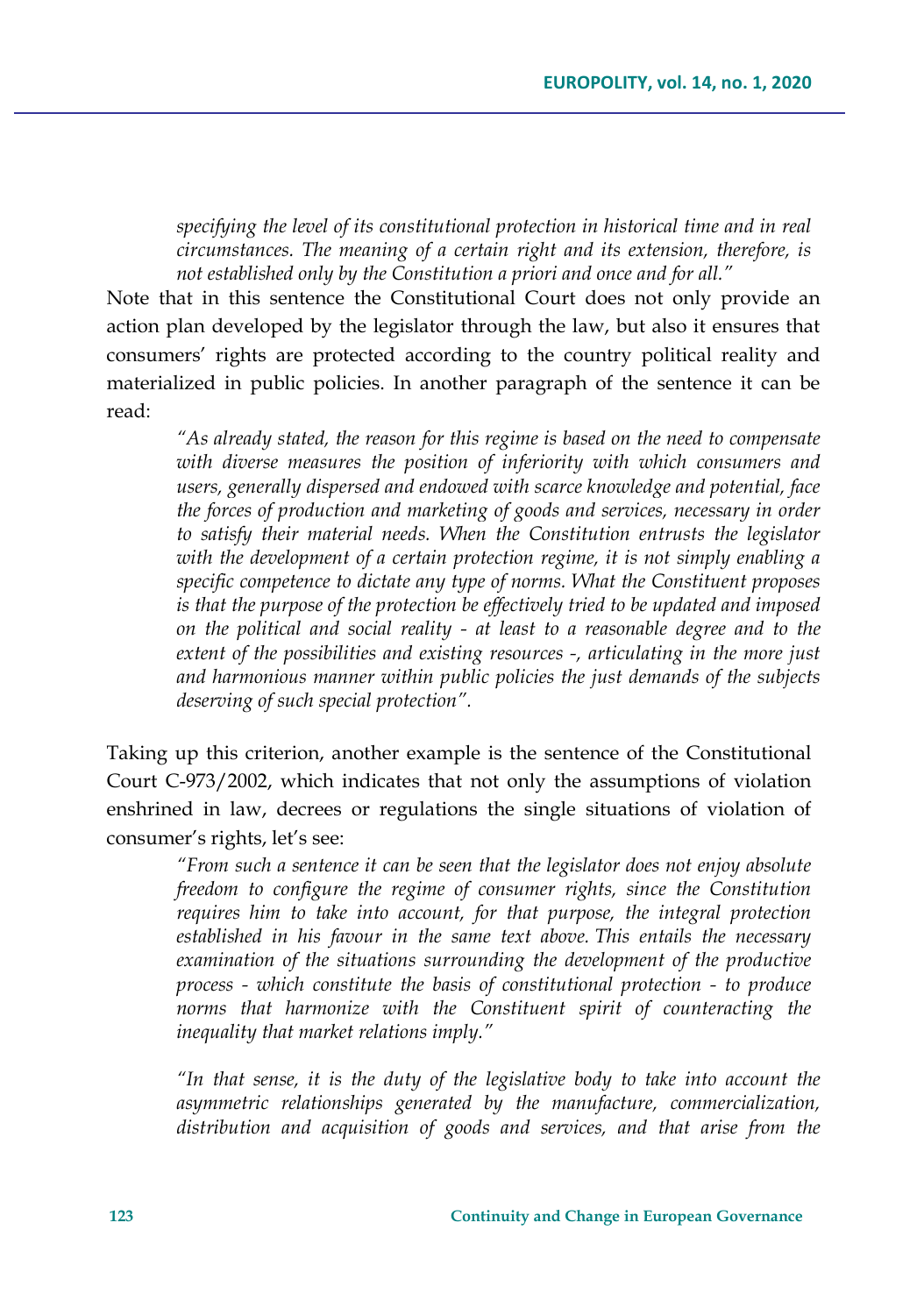*specifying the level of its constitutional protection in historical time and in real circumstances. The meaning of a certain right and its extension, therefore, is not established only by the Constitution a priori and once and for all."*

Note that in this sentence the Constitutional Court does not only provide an action plan developed by the legislator through the law, but also it ensures that consumers' rights are protected according to the country political reality and materialized in public policies. In another paragraph of the sentence it can be read:

*"As already stated, the reason for this regime is based on the need to compensate with diverse measures the position of inferiority with which consumers and users, generally dispersed and endowed with scarce knowledge and potential, face the forces of production and marketing of goods and services, necessary in order to satisfy their material needs. When the Constitution entrusts the legislator*  with the development of a certain protection regime, it is not simply enabling a *specific competence to dictate any type of norms. What the Constituent proposes is that the purpose of the protection be effectively tried to be updated and imposed on the political and social reality - at least to a reasonable degree and to the extent of the possibilities and existing resources -, articulating in the more just and harmonious manner within public policies the just demands of the subjects deserving of such special protection".*

Taking up this criterion, another example is the sentence of the Constitutional Court C-973/2002, which indicates that not only the assumptions of violation enshrined in law, decrees or regulations the single situations of violation of consumer's rights, let's see:

*"From such a sentence it can be seen that the legislator does not enjoy absolute freedom to configure the regime of consumer rights, since the Constitution requires him to take into account, for that purpose, the integral protection established in his favour in the same text above. This entails the necessary examination of the situations surrounding the development of the productive process - which constitute the basis of constitutional protection - to produce norms that harmonize with the Constituent spirit of counteracting the inequality that market relations imply."*

*"In that sense, it is the duty of the legislative body to take into account the asymmetric relationships generated by the manufacture, commercialization, distribution and acquisition of goods and services, and that arise from the*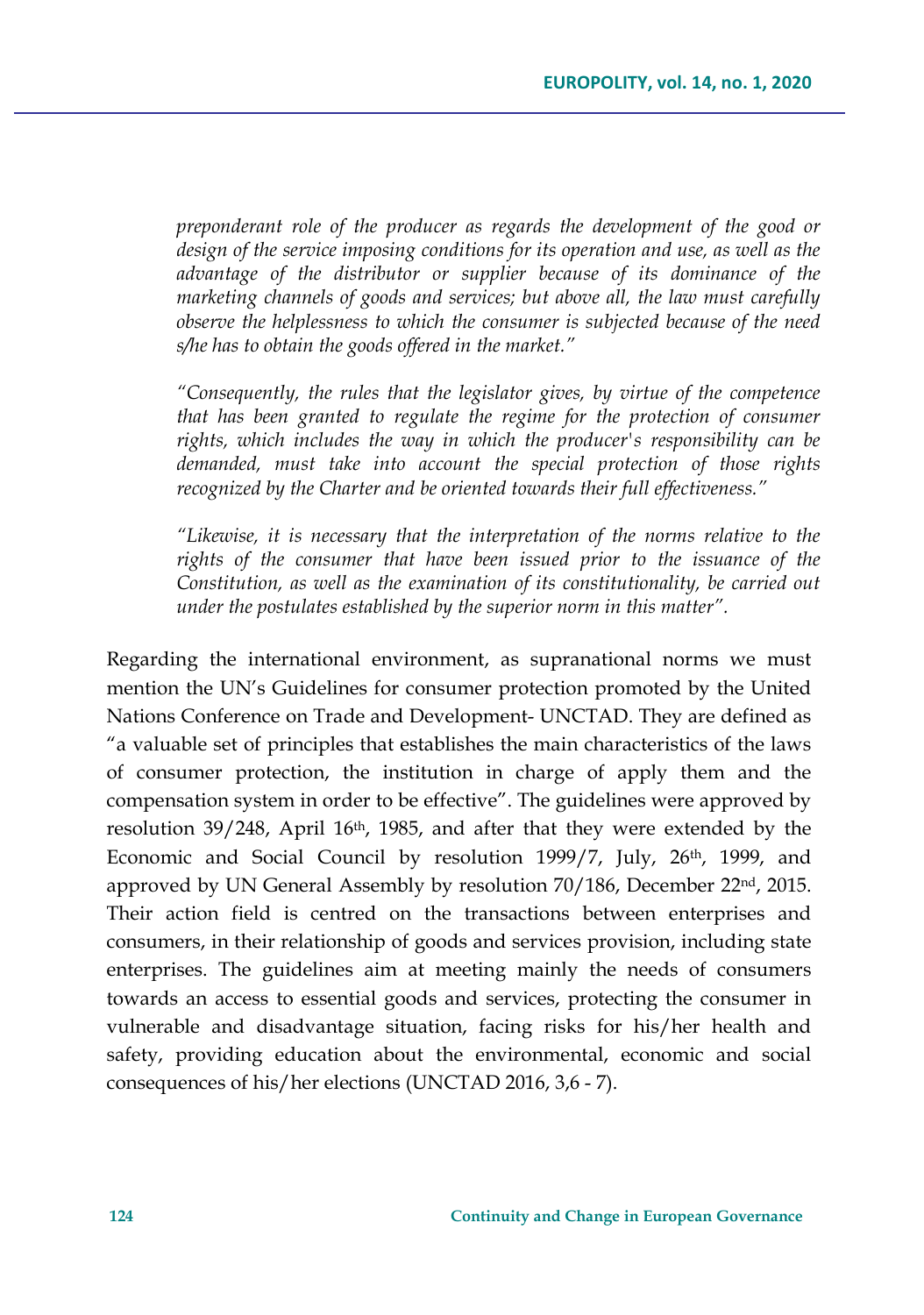*preponderant role of the producer as regards the development of the good or design of the service imposing conditions for its operation and use, as well as the advantage of the distributor or supplier because of its dominance of the marketing channels of goods and services; but above all, the law must carefully observe the helplessness to which the consumer is subjected because of the need s/he has to obtain the goods offered in the market."*

*"Consequently, the rules that the legislator gives, by virtue of the competence that has been granted to regulate the regime for the protection of consumer rights, which includes the way in which the producer's responsibility can be demanded, must take into account the special protection of those rights recognized by the Charter and be oriented towards their full effectiveness."*

*"Likewise, it is necessary that the interpretation of the norms relative to the*  rights of the consumer that have been issued prior to the *issuance* of the *Constitution, as well as the examination of its constitutionality, be carried out under the postulates established by the superior norm in this matter".*

Regarding the international environment, as supranational norms we must mention the UN's Guidelines for consumer protection promoted by the United Nations Conference on Trade and Development- UNCTAD. They are defined as "a valuable set of principles that establishes the main characteristics of the laws of consumer protection, the institution in charge of apply them and the compensation system in order to be effective". The guidelines were approved by resolution 39/248, April 16th, 1985, and after that they were extended by the Economic and Social Council by resolution 1999/7, July, 26<sup>th</sup>, 1999, and approved by UN General Assembly by resolution 70/186, December 22<sup>nd</sup>, 2015. Their action field is centred on the transactions between enterprises and consumers, in their relationship of goods and services provision, including state enterprises. The guidelines aim at meeting mainly the needs of consumers towards an access to essential goods and services, protecting the consumer in vulnerable and disadvantage situation, facing risks for his/her health and safety, providing education about the environmental, economic and social consequences of his/her elections (UNCTAD 2016, 3,6 - 7).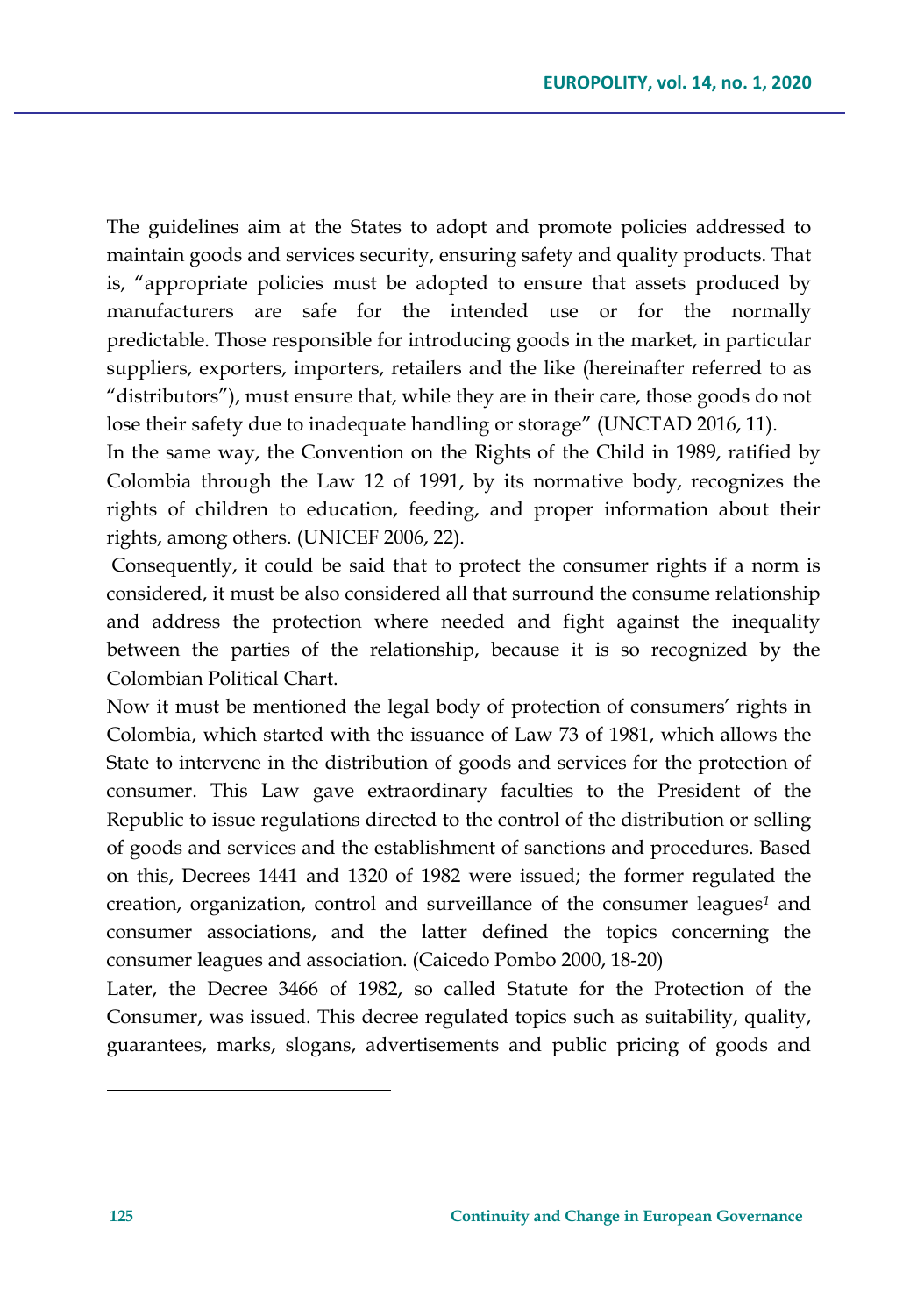The guidelines aim at the States to adopt and promote policies addressed to maintain goods and services security, ensuring safety and quality products. That is, "appropriate policies must be adopted to ensure that assets produced by manufacturers are safe for the intended use or for the normally predictable. Those responsible for introducing goods in the market, in particular suppliers, exporters, importers, retailers and the like (hereinafter referred to as "distributors"), must ensure that, while they are in their care, those goods do not lose their safety due to inadequate handling or storage" (UNCTAD 2016, 11).

In the same way, the Convention on the Rights of the Child in 1989, ratified by Colombia through the Law 12 of 1991, by its normative body, recognizes the rights of children to education, feeding, and proper information about their rights, among others. (UNICEF 2006, 22).

Consequently, it could be said that to protect the consumer rights if a norm is considered, it must be also considered all that surround the consume relationship and address the protection where needed and fight against the inequality between the parties of the relationship, because it is so recognized by the Colombian Political Chart.

Now it must be mentioned the legal body of protection of consumers' rights in Colombia, which started with the issuance of Law 73 of 1981, which allows the State to intervene in the distribution of goods and services for the protection of consumer. This Law gave extraordinary faculties to the President of the Republic to issue regulations directed to the control of the distribution or selling of goods and services and the establishment of sanctions and procedures. Based on this, Decrees 1441 and 1320 of 1982 were issued; the former regulated the creation, organization, control and surveillance of the consumer leagues*<sup>1</sup>* and consumer associations, and the latter defined the topics concerning the consumer leagues and association. (Caicedo Pombo 2000, 18-20)

Later, the Decree 3466 of 1982, so called Statute for the Protection of the Consumer, was issued. This decree regulated topics such as suitability, quality, guarantees, marks, slogans, advertisements and public pricing of goods and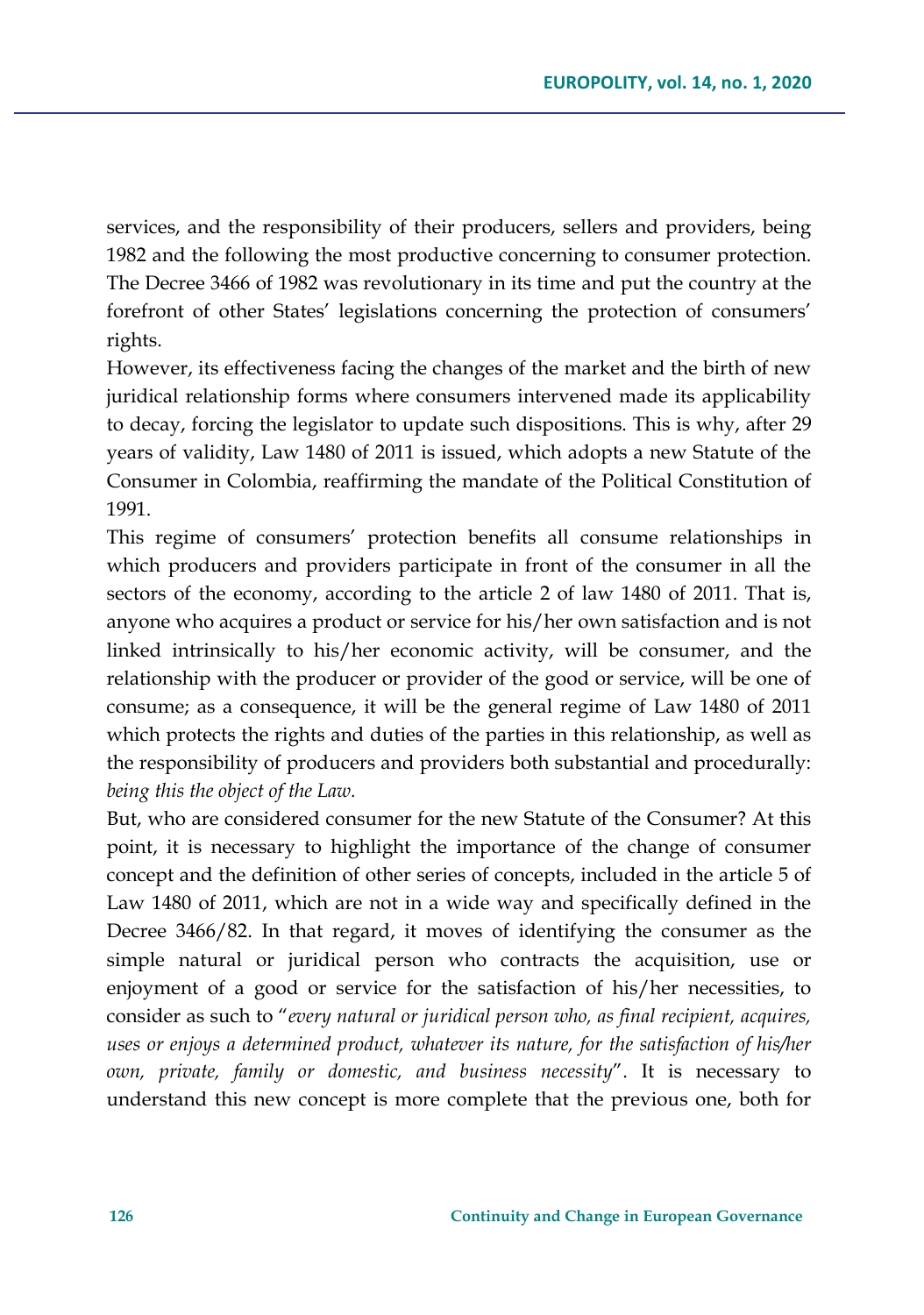services, and the responsibility of their producers, sellers and providers, being 1982 and the following the most productive concerning to consumer protection. The Decree 3466 of 1982 was revolutionary in its time and put the country at the forefront of other States' legislations concerning the protection of consumers' rights.

However, its effectiveness facing the changes of the market and the birth of new juridical relationship forms where consumers intervened made its applicability to decay, forcing the legislator to update such dispositions. This is why, after 29 years of validity, Law 1480 of 2011 is issued, which adopts a new Statute of the Consumer in Colombia, reaffirming the mandate of the Political Constitution of 1991.

This regime of consumers' protection benefits all consume relationships in which producers and providers participate in front of the consumer in all the sectors of the economy, according to the article 2 of law 1480 of 2011. That is, anyone who acquires a product or service for his/her own satisfaction and is not linked intrinsically to his/her economic activity, will be consumer, and the relationship with the producer or provider of the good or service, will be one of consume; as a consequence, it will be the general regime of Law 1480 of 2011 which protects the rights and duties of the parties in this relationship, as well as the responsibility of producers and providers both substantial and procedurally: *being this the object of the Law.*

But, who are considered consumer for the new Statute of the Consumer? At this point, it is necessary to highlight the importance of the change of consumer concept and the definition of other series of concepts, included in the article 5 of Law 1480 of 2011, which are not in a wide way and specifically defined in the Decree 3466/82. In that regard, it moves of identifying the consumer as the simple natural or juridical person who contracts the acquisition, use or enjoyment of a good or service for the satisfaction of his/her necessities, to consider as such to "*every natural or juridical person who, as final recipient, acquires, uses or enjoys a determined product, whatever its nature, for the satisfaction of his/her own, private, family or domestic, and business necessity*". It is necessary to understand this new concept is more complete that the previous one, both for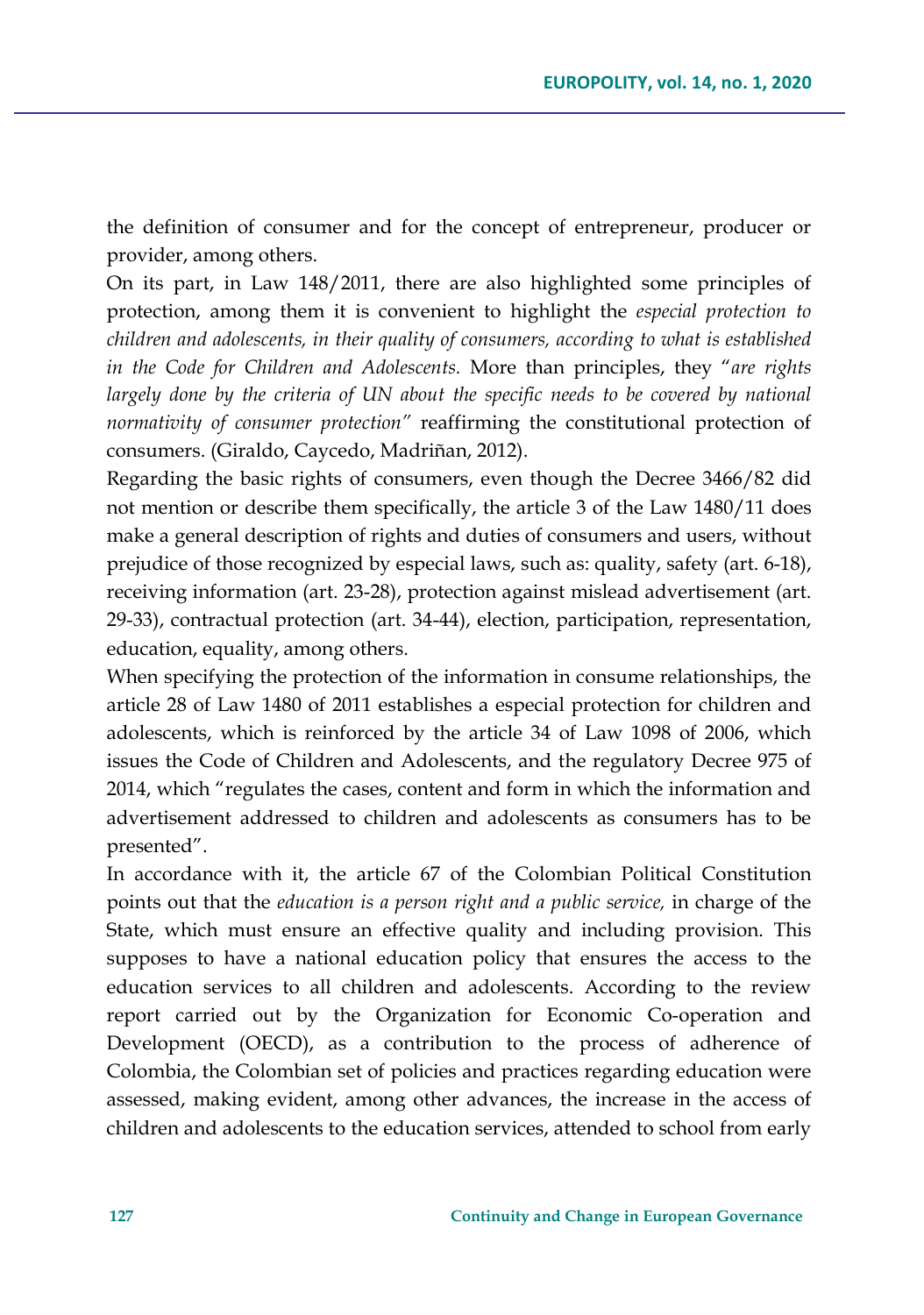the definition of consumer and for the concept of entrepreneur, producer or provider, among others.

On its part, in Law 148/2011, there are also highlighted some principles of protection, among them it is convenient to highlight the *especial protection to children and adolescents, in their quality of consumers, according to what is established in the Code for Children and Adolescents.* More than principles, they "*are rights*  largely done by the criteria of UN about the specific needs to be covered by national *normativity of consumer protection"* reaffirming the constitutional protection of consumers. (Giraldo, Caycedo, Madriñan, 2012).

Regarding the basic rights of consumers, even though the Decree 3466/82 did not mention or describe them specifically, the article 3 of the Law 1480/11 does make a general description of rights and duties of consumers and users, without prejudice of those recognized by especial laws, such as: quality, safety (art. 6-18), receiving information (art. 23-28), protection against mislead advertisement (art. 29-33), contractual protection (art. 34-44), election, participation, representation, education, equality, among others.

When specifying the protection of the information in consume relationships, the article 28 of Law 1480 of 2011 establishes a especial protection for children and adolescents, which is reinforced by the article 34 of Law 1098 of 2006, which issues the Code of Children and Adolescents, and the regulatory Decree 975 of 2014, which "regulates the cases, content and form in which the information and advertisement addressed to children and adolescents as consumers has to be presented".

In accordance with it, the article 67 of the Colombian Political Constitution points out that the *education is a person right and a public service,* in charge of the State, which must ensure an effective quality and including provision. This supposes to have a national education policy that ensures the access to the education services to all children and adolescents. According to the review report carried out by the Organization for Economic Co-operation and Development (OECD), as a contribution to the process of adherence of Colombia, the Colombian set of policies and practices regarding education were assessed, making evident, among other advances, the increase in the access of children and adolescents to the education services, attended to school from early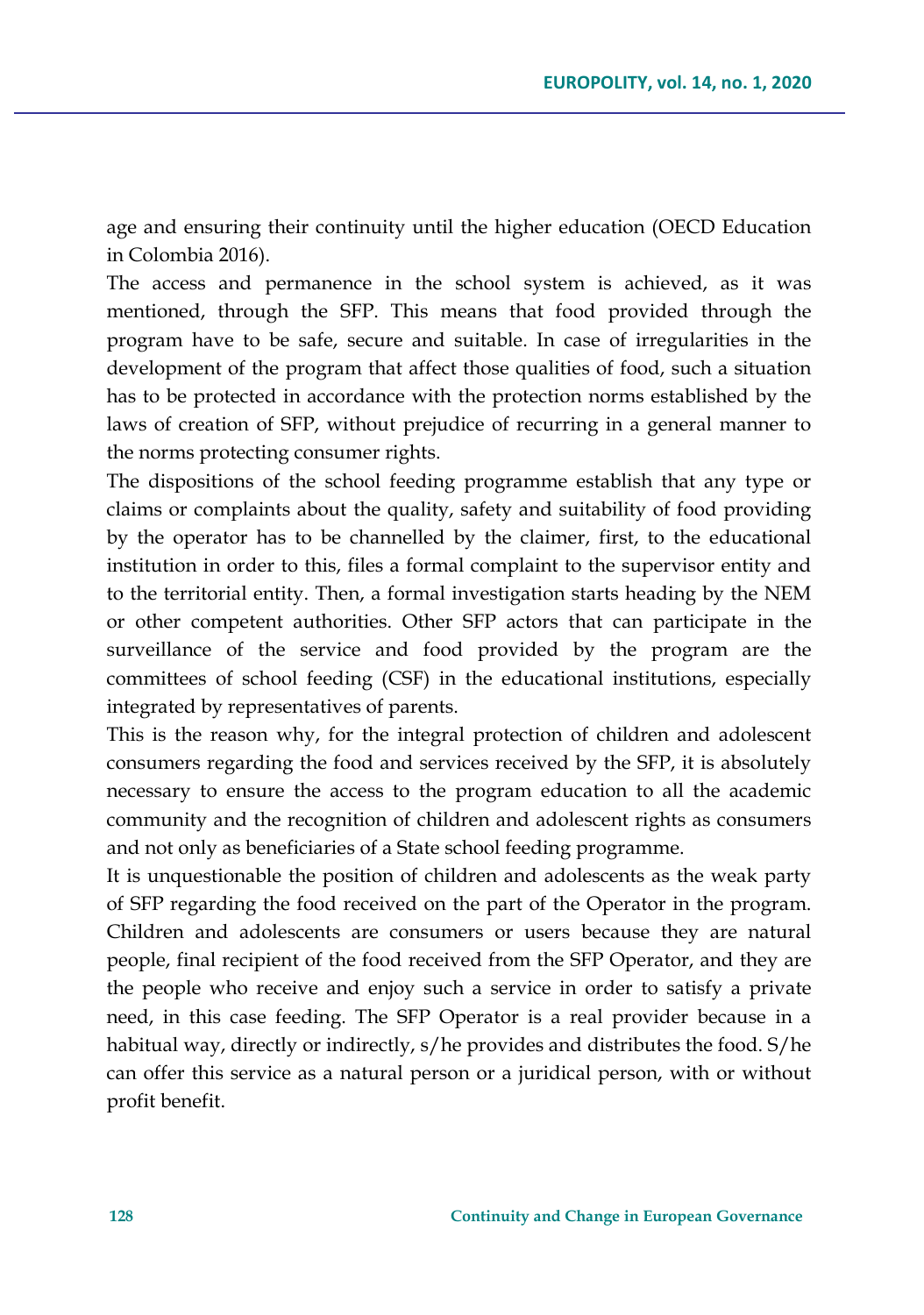age and ensuring their continuity until the higher education (OECD Education in Colombia 2016).

The access and permanence in the school system is achieved, as it was mentioned, through the SFP. This means that food provided through the program have to be safe, secure and suitable. In case of irregularities in the development of the program that affect those qualities of food, such a situation has to be protected in accordance with the protection norms established by the laws of creation of SFP, without prejudice of recurring in a general manner to the norms protecting consumer rights.

The dispositions of the school feeding programme establish that any type or claims or complaints about the quality, safety and suitability of food providing by the operator has to be channelled by the claimer, first, to the educational institution in order to this, files a formal complaint to the supervisor entity and to the territorial entity. Then, a formal investigation starts heading by the NEM or other competent authorities. Other SFP actors that can participate in the surveillance of the service and food provided by the program are the committees of school feeding (CSF) in the educational institutions, especially integrated by representatives of parents.

This is the reason why, for the integral protection of children and adolescent consumers regarding the food and services received by the SFP, it is absolutely necessary to ensure the access to the program education to all the academic community and the recognition of children and adolescent rights as consumers and not only as beneficiaries of a State school feeding programme.

It is unquestionable the position of children and adolescents as the weak party of SFP regarding the food received on the part of the Operator in the program. Children and adolescents are consumers or users because they are natural people, final recipient of the food received from the SFP Operator, and they are the people who receive and enjoy such a service in order to satisfy a private need, in this case feeding. The SFP Operator is a real provider because in a habitual way, directly or indirectly, s/he provides and distributes the food. S/he can offer this service as a natural person or a juridical person, with or without profit benefit.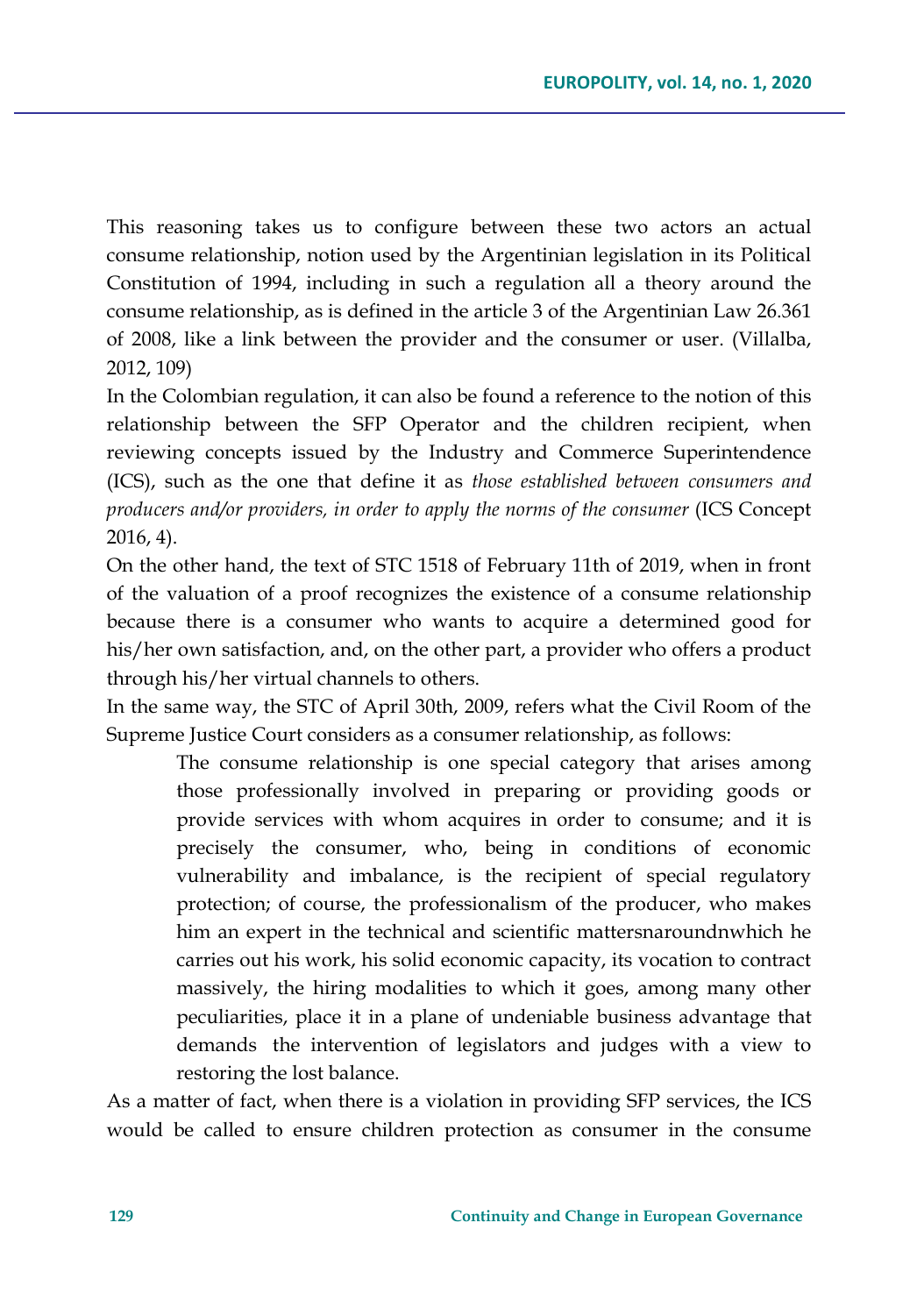This reasoning takes us to configure between these two actors an actual consume relationship, notion used by the Argentinian legislation in its Political Constitution of 1994, including in such a regulation all a theory around the consume relationship, as is defined in the article 3 of the Argentinian Law 26.361 of 2008, like a link between the provider and the consumer or user. (Villalba, 2012, 109)

In the Colombian regulation, it can also be found a reference to the notion of this relationship between the SFP Operator and the children recipient, when reviewing concepts issued by the Industry and Commerce Superintendence (ICS), such as the one that define it as *those established between consumers and producers and/or providers, in order to apply the norms of the consumer* (ICS Concept 2016, 4).

On the other hand, the text of STC 1518 of February 11th of 2019, when in front of the valuation of a proof recognizes the existence of a consume relationship because there is a consumer who wants to acquire a determined good for his/her own satisfaction, and, on the other part, a provider who offers a product through his/her virtual channels to others.

In the same way, the STC of April 30th, 2009, refers what the Civil Room of the Supreme Justice Court considers as a consumer relationship, as follows:

The consume relationship is one special category that arises among those professionally involved in preparing or providing goods or provide services with whom acquires in order to consume; and it is precisely the consumer, who, being in conditions of economic vulnerability and imbalance, is the recipient of special regulatory protection; of course, the professionalism of the producer, who makes him an expert in the technical and scientific mattersnaroundnwhich he carries out his work, his solid economic capacity, its vocation to contract massively, the hiring modalities to which it goes, among many other peculiarities, place it in a plane of undeniable business advantage that demands the intervention of legislators and judges with a view to restoring the lost balance.

As a matter of fact, when there is a violation in providing SFP services, the ICS would be called to ensure children protection as consumer in the consume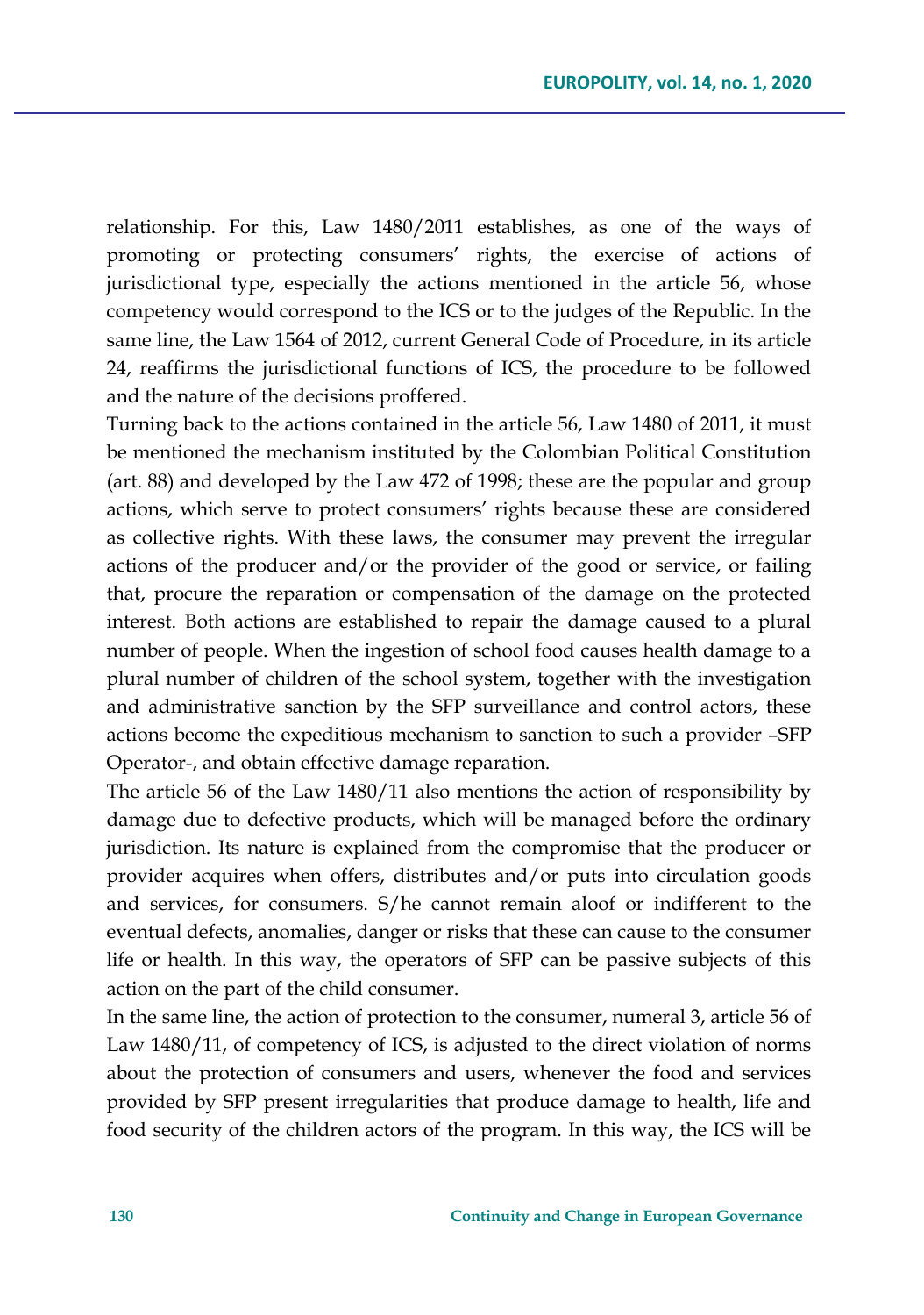relationship. For this, Law 1480/2011 establishes, as one of the ways of promoting or protecting consumers' rights, the exercise of actions of jurisdictional type, especially the actions mentioned in the article 56, whose competency would correspond to the ICS or to the judges of the Republic. In the same line, the Law 1564 of 2012, current General Code of Procedure, in its article 24, reaffirms the jurisdictional functions of ICS, the procedure to be followed and the nature of the decisions proffered.

Turning back to the actions contained in the article 56, Law 1480 of 2011, it must be mentioned the mechanism instituted by the Colombian Political Constitution (art. 88) and developed by the Law 472 of 1998; these are the popular and group actions, which serve to protect consumers' rights because these are considered as collective rights. With these laws, the consumer may prevent the irregular actions of the producer and/or the provider of the good or service, or failing that, procure the reparation or compensation of the damage on the protected interest. Both actions are established to repair the damage caused to a plural number of people. When the ingestion of school food causes health damage to a plural number of children of the school system, together with the investigation and administrative sanction by the SFP surveillance and control actors, these actions become the expeditious mechanism to sanction to such a provider –SFP Operator-, and obtain effective damage reparation.

The article 56 of the Law 1480/11 also mentions the action of responsibility by damage due to defective products, which will be managed before the ordinary jurisdiction. Its nature is explained from the compromise that the producer or provider acquires when offers, distributes and/or puts into circulation goods and services, for consumers. S/he cannot remain aloof or indifferent to the eventual defects, anomalies, danger or risks that these can cause to the consumer life or health. In this way, the operators of SFP can be passive subjects of this action on the part of the child consumer.

In the same line, the action of protection to the consumer, numeral 3, article 56 of Law 1480/11, of competency of ICS, is adjusted to the direct violation of norms about the protection of consumers and users, whenever the food and services provided by SFP present irregularities that produce damage to health, life and food security of the children actors of the program. In this way, the ICS will be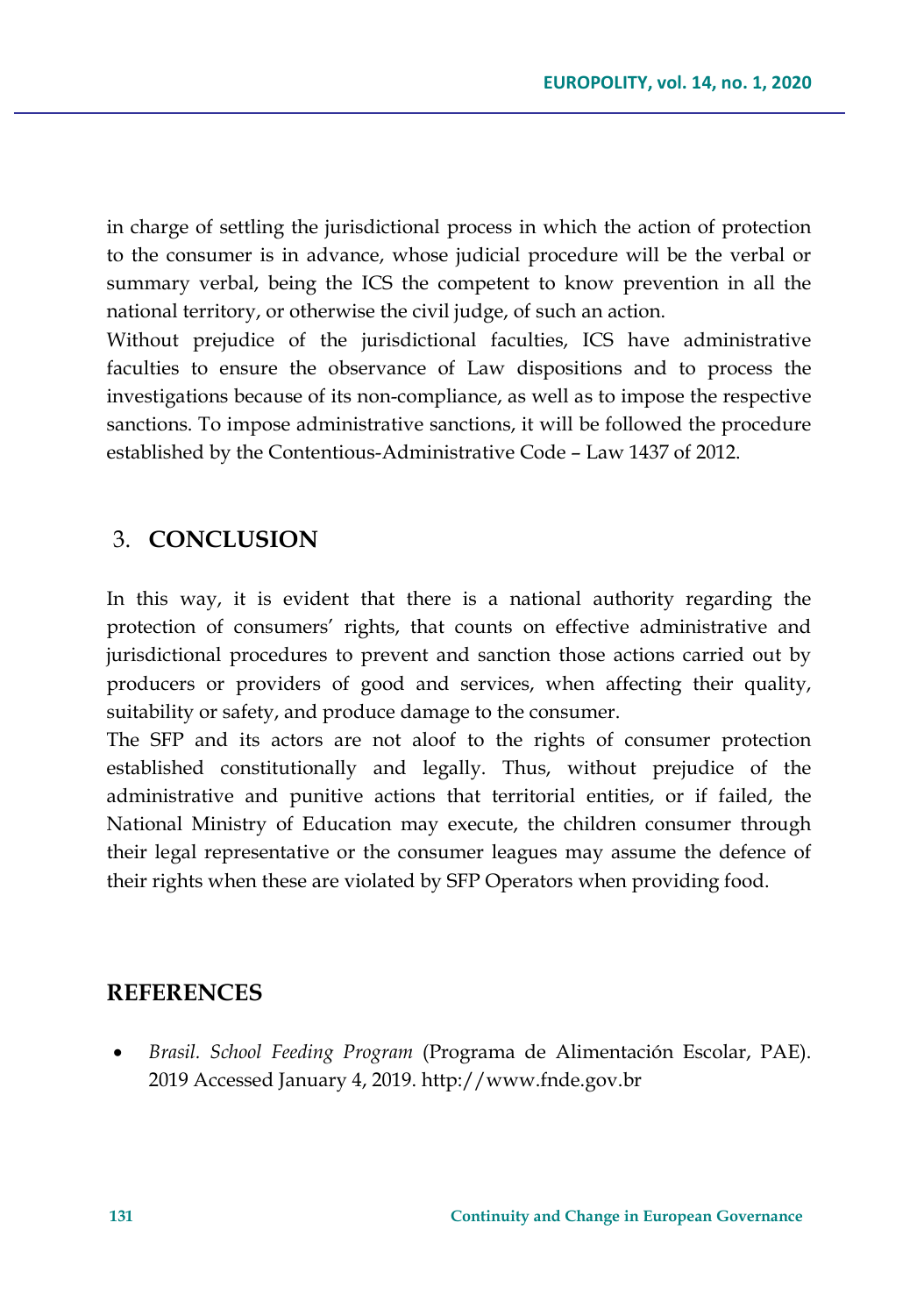in charge of settling the jurisdictional process in which the action of protection to the consumer is in advance, whose judicial procedure will be the verbal or summary verbal, being the ICS the competent to know prevention in all the national territory, or otherwise the civil judge, of such an action.

Without prejudice of the jurisdictional faculties, ICS have administrative faculties to ensure the observance of Law dispositions and to process the investigations because of its non-compliance, as well as to impose the respective sanctions. To impose administrative sanctions, it will be followed the procedure established by the Contentious-Administrative Code – Law 1437 of 2012.

## 3. **CONCLUSION**

In this way, it is evident that there is a national authority regarding the protection of consumers' rights, that counts on effective administrative and jurisdictional procedures to prevent and sanction those actions carried out by producers or providers of good and services, when affecting their quality, suitability or safety, and produce damage to the consumer.

The SFP and its actors are not aloof to the rights of consumer protection established constitutionally and legally. Thus, without prejudice of the administrative and punitive actions that territorial entities, or if failed, the National Ministry of Education may execute, the children consumer through their legal representative or the consumer leagues may assume the defence of their rights when these are violated by SFP Operators when providing food.

### **REFERENCES**

• *Brasil. School Feeding Program* (Programa de Alimentación Escolar, PAE). 2019 Accessed January 4, 2019. http://www.fnde.gov.br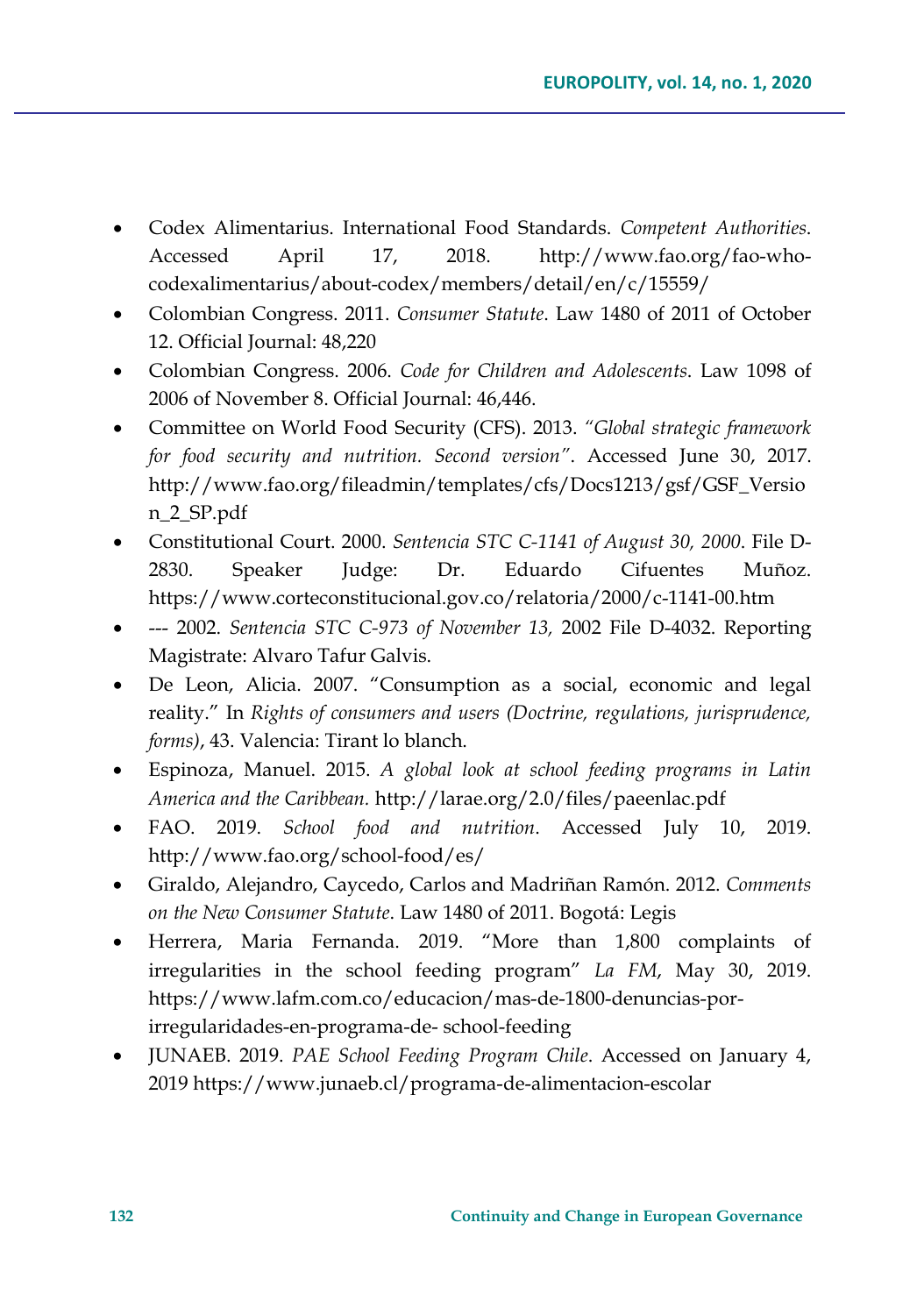- Codex Alimentarius. International Food Standards. *Competent Authorities*. Accessed April 17, 2018. http://www.fao.org/fao-whocodexalimentarius/about-codex/members/detail/en/c/15559/
- Colombian Congress. 2011. *Consumer Statute*. Law 1480 of 2011 of October 12. Official Journal: 48,220
- Colombian Congress. 2006. *Code for Children and Adolescents*. Law 1098 of 2006 of November 8. Official Journal: 46,446.
- Committee on World Food Security (CFS). 2013. *"Global strategic framework for food security and nutrition. Second version"*. Accessed June 30, 2017. http://www.fao.org/fileadmin/templates/cfs/Docs1213/gsf/GSF\_Versio n\_2\_SP.pdf
- Constitutional Court. 2000. *Sentencia STC C-1141 of August 30, 2000*. File D-2830. Speaker Judge: Dr. Eduardo Cifuentes Muñoz. https://www.corteconstitucional.gov.co/relatoria/2000/c-1141-00.htm
- --- 2002. *Sentencia STC C-973 of November 13,* 2002 File D-4032. Reporting Magistrate: Alvaro Tafur Galvis.
- De Leon, Alicia. 2007. "Consumption as a social, economic and legal reality." In *Rights of consumers and users (Doctrine, regulations, jurisprudence, forms)*, 43. Valencia: Tirant lo blanch.
- Espinoza, Manuel. 2015. *A global look at school feeding programs in Latin America and the Caribbean.* http://larae.org/2.0/files/paeenlac.pdf
- FAO. 2019. *School food and nutrition*. Accessed July 10, 2019. http://www.fao.org/school-food/es/
- Giraldo, Alejandro, Caycedo, Carlos and Madriñan Ramón. 2012. *Comments on the New Consumer Statute*. Law 1480 of 2011. Bogotá: Legis
- Herrera, Maria Fernanda. 2019. "More than 1,800 complaints of irregularities in the school feeding program" *La FM*, May 30, 2019. https://www.lafm.com.co/educacion/mas-de-1800-denuncias-porirregularidades-en-programa-de- school-feeding
- JUNAEB. 2019. *PAE School Feeding Program Chile*. Accessed on January 4, 2019 [https://www.junaeb.cl/programa](https://www.junaeb.cl/programa-de-alimentacion-escolar)-de-alimentacion-escolar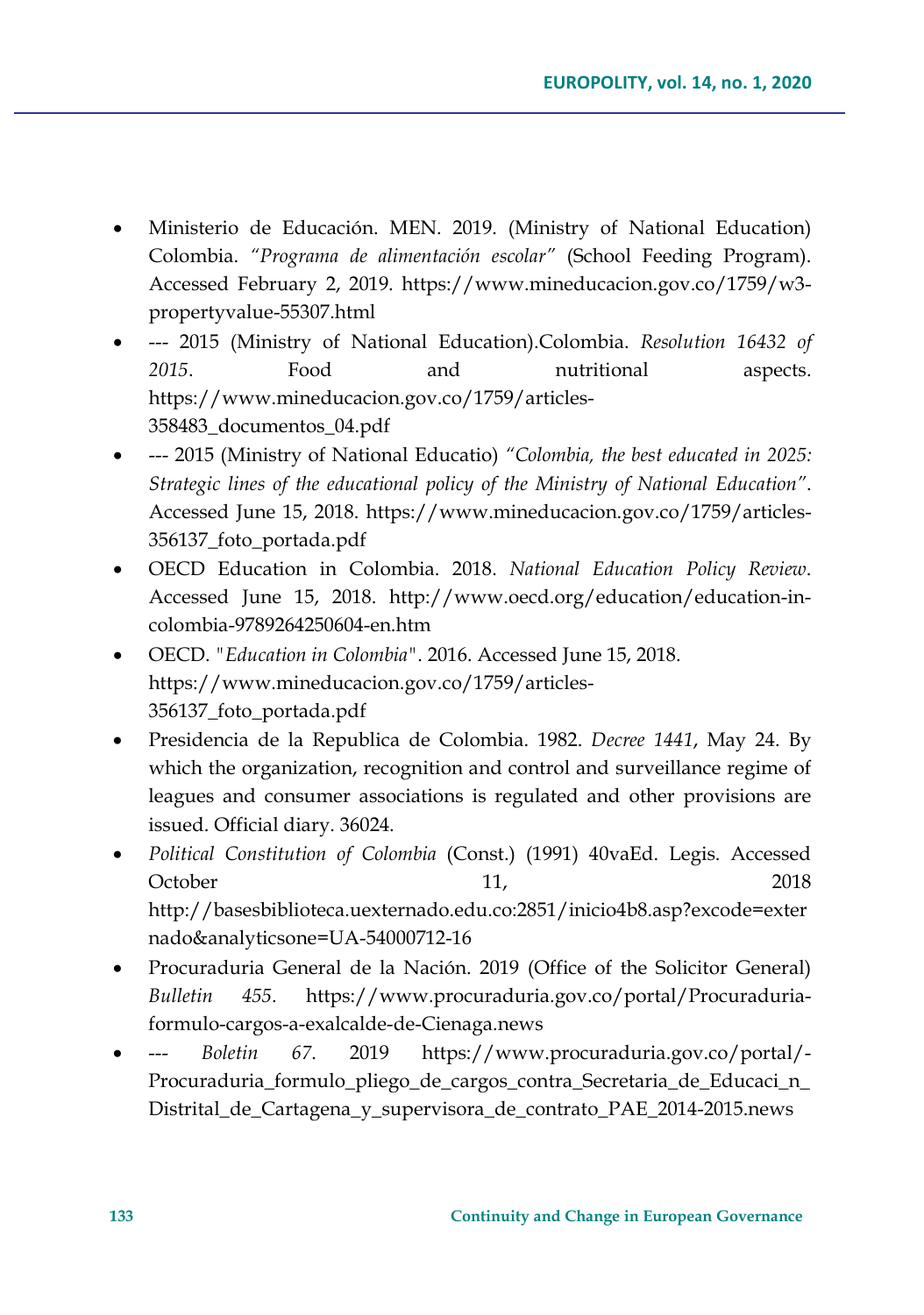- Ministerio de Educación. MEN. 2019. (Ministry of National Education) Colombia. *"Programa de alimentación escolar"* (School Feeding Program). Accessed February 2, 2019. https://www.mineducacion.gov.co/1759/w3 propertyvalue-55307.html
- --- 2015 (Ministry of National Education).Colombia. *Resolution 16432 of 2015*. Food and nutritional aspects. https://www.mineducacion.gov.co/1759/articles-358483\_documentos\_04.pdf
- --- 2015 (Ministry of National Educatio) *"Colombia, the best educated in 2025: Strategic lines of the educational policy of the Ministry of National Education"*. Accessed June 15, 2018. https://www.mineducacion.gov.co/1759/articles-356137\_foto\_portada.pdf
- OECD Education in Colombia. 2018. *National Education Policy Review*. Accessed June 15, 2018. http://www.oecd.org/education/education-incolombia-9789264250604-en.htm
- OECD. *"Education in Colombia"*. 2016. Accessed June 15, 2018. https://www.mineducacion.gov.co/1759/articles-356137\_foto\_portada.pdf
- Presidencia de la Republica de Colombia. 1982. *Decree 1441*, May 24. By which the organization, recognition and control and surveillance regime of leagues and consumer associations is regulated and other provisions are issued. Official diary. 36024.
- *Political Constitution of Colombia* (Const.) (1991) 40vaEd. Legis. Accessed October 11, 2018 [http://basesbiblioteca.uexternado.edu.co:2851/inicio4b8.asp?excode=exter](http://basesbiblioteca.uexternado.edu.co:2851/inicio4b8.asp?excode=externado&analyticsone=UA-54000712-16) [nado&analyticsone=UA](http://basesbiblioteca.uexternado.edu.co:2851/inicio4b8.asp?excode=externado&analyticsone=UA-54000712-16)-54000712-16
- Procuraduria General de la Nación. 2019 (Office of the Solicitor General) *Bulletin 455*. https://www.procuraduria.gov.co/portal/Procuraduriaformulo-cargos-a-exalcalde-de-Cienaga.news
- --- *Boletin 67*. 2019 https://www.procuraduria.gov.co/portal/- Procuraduria\_formulo\_pliego\_de\_cargos\_contra\_Secretaria\_de\_Educaci\_n\_ Distrital\_de\_Cartagena\_y\_supervisora\_de\_contrato\_PAE\_2014-2015.news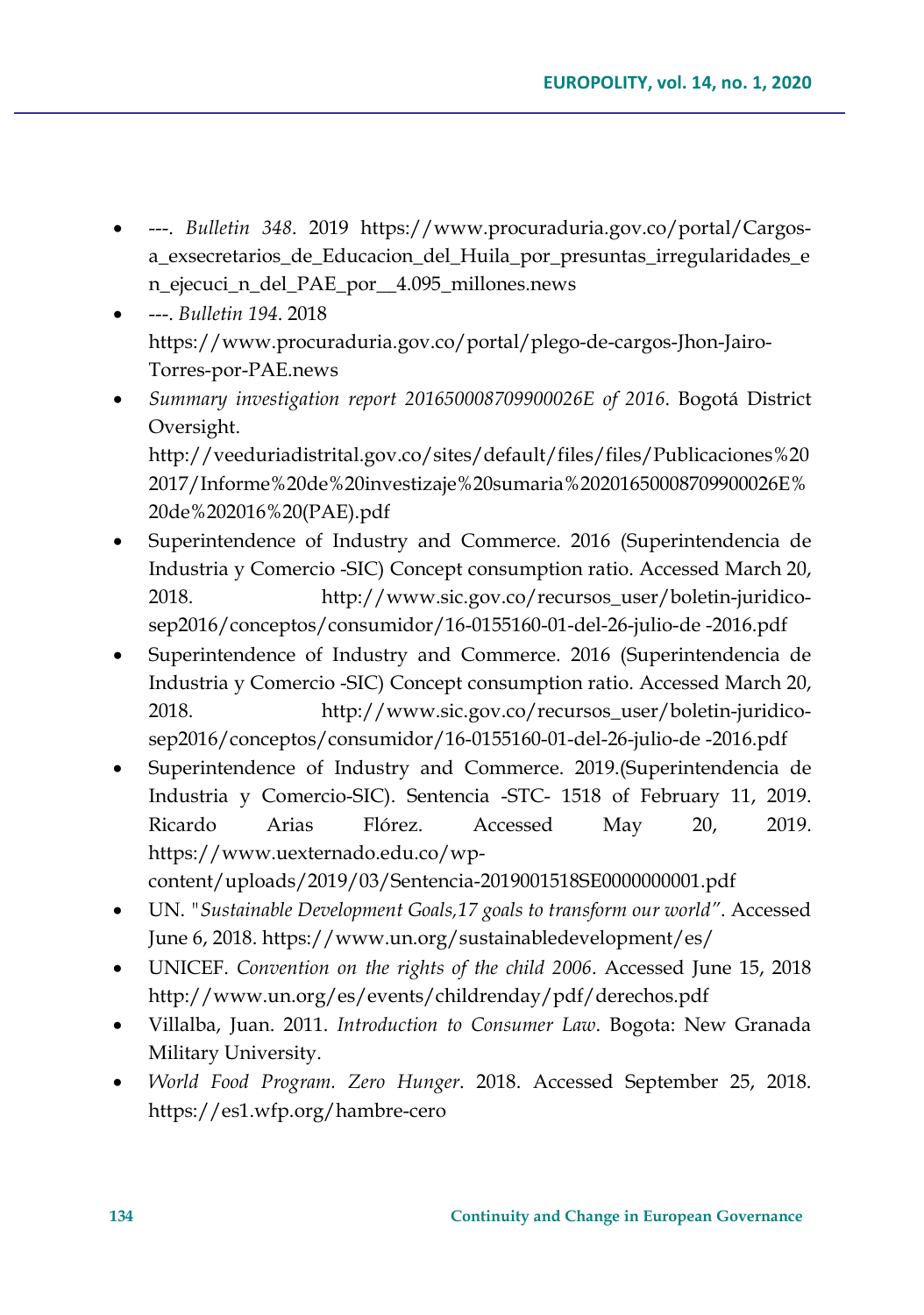- ---. *Bulletin 348*. 2019 https://www.procuraduria.gov.co/portal/Cargosa\_exsecretarios\_de\_Educacion\_del\_Huila\_por\_presuntas\_irregularidades\_e n\_ejecuci\_n\_del\_PAE\_por\_\_4.095\_millones.news
- ---. *Bulletin 194*. 2018 https://www.procuraduria.gov.co/portal/plego-de-cargos-Jhon-Jairo-Torres-por-PAE.news
- *Summary investigation report 201650008709900026E of 2016*. Bogotá District Oversight. [http://veeduriadistrital.gov.co/sites/default/files/files/Publicaciones%20](http://veeduriadistrital.gov.co/sites/default/files/files/Publicaciones%202017/Informe%20de%20investizaje%20sumaria%20201650008709900026E%20de%202016%20(PAE).pdf) [2017/Informe%20de%20investizaje%20sumaria%20201650008709900026E%](http://veeduriadistrital.gov.co/sites/default/files/files/Publicaciones%202017/Informe%20de%20investizaje%20sumaria%20201650008709900026E%20de%202016%20(PAE).pdf) [20de%202016%20\(PAE\).pdf](http://veeduriadistrital.gov.co/sites/default/files/files/Publicaciones%202017/Informe%20de%20investizaje%20sumaria%20201650008709900026E%20de%202016%20(PAE).pdf)
- Superintendence of Industry and Commerce. 2016 (Superintendencia de Industria y Comercio -SIC) Concept consumption ratio. Accessed March 20, 2018. http://www.sic.gov.co/recursos\_user/boletin-juridicosep2016/conceptos/consumidor/16-0155160-01-del-26-julio-de -2016.pdf
- Superintendence of Industry and Commerce. 2016 (Superintendencia de Industria y Comercio -SIC) Concept consumption ratio. Accessed March 20, 2018. http://www.sic.gov.co/recursos\_user/boletin-juridicosep2016/conceptos/consumidor/16-0155160-01-del-26-julio-de -2016.pdf
- Superintendence of Industry and Commerce. 2019.(Superintendencia de Industria y Comercio-SIC). Sentencia -STC- 1518 of February 11, 2019. Ricardo Arias Flórez. Accessed May 20, 2019. https://www.uexternado.edu.co/wpcontent/uploads/2019/03/Sentencia-2019001518SE0000000001.pdf
- UN. *"Sustainable Development Goals,17 goals to transform our world"*. Accessed June 6, 2018.<https://www.un.org/sustainabledevelopment/es/>
- UNICEF. *Convention on the rights of the child 2006*. Accessed June 15, 2018 <http://www.un.org/es/events/childrenday/pdf/derechos.pdf>
- Villalba, Juan. 2011. *Introduction to Consumer Law*. Bogota: New Granada Military University.
- *World Food Program. Zero Hunger*. 2018. Accessed September 25, 2018. https://es1.wfp.org/hambre-cero